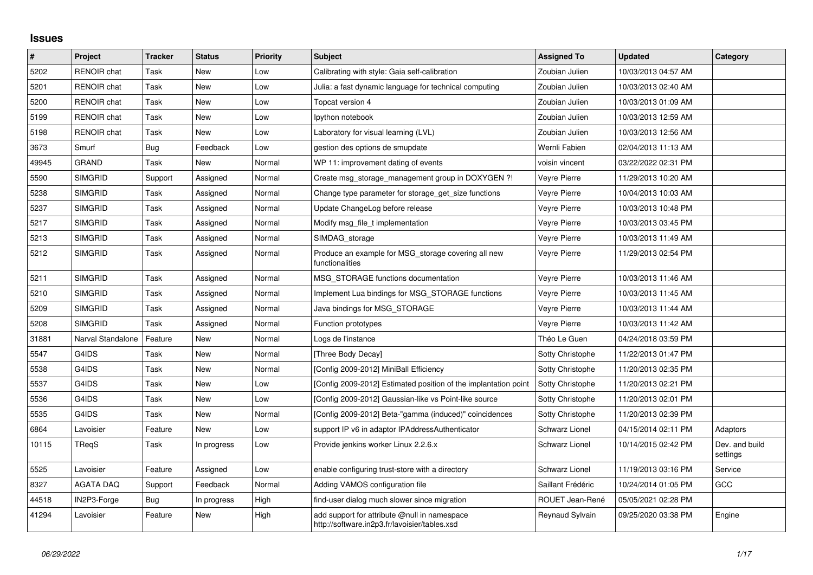## **Issues**

| $\sharp$ | Project            | <b>Tracker</b> | <b>Status</b> | <b>Priority</b> | <b>Subject</b>                                                                                | <b>Assigned To</b>    | <b>Updated</b>      | Category                   |
|----------|--------------------|----------------|---------------|-----------------|-----------------------------------------------------------------------------------------------|-----------------------|---------------------|----------------------------|
| 5202     | <b>RENOIR</b> chat | Task           | <b>New</b>    | Low             | Calibrating with style: Gaia self-calibration                                                 | Zoubian Julien        | 10/03/2013 04:57 AM |                            |
| 5201     | <b>RENOIR</b> chat | Task           | New           | Low             | Julia: a fast dynamic language for technical computing                                        | Zoubian Julien        | 10/03/2013 02:40 AM |                            |
| 5200     | RENOIR chat        | Task           | New           | Low             | Topcat version 4                                                                              | Zoubian Julien        | 10/03/2013 01:09 AM |                            |
| 5199     | <b>RENOIR</b> chat | Task           | New           | Low             | Ipython notebook                                                                              | Zoubian Julien        | 10/03/2013 12:59 AM |                            |
| 5198     | <b>RENOIR</b> chat | Task           | <b>New</b>    | Low             | Laboratory for visual learning (LVL)                                                          | Zoubian Julien        | 10/03/2013 12:56 AM |                            |
| 3673     | Smurf              | Bug            | Feedback      | Low             | gestion des options de smupdate                                                               | Wernli Fabien         | 02/04/2013 11:13 AM |                            |
| 49945    | <b>GRAND</b>       | Task           | New           | Normal          | WP 11: improvement dating of events                                                           | voisin vincent        | 03/22/2022 02:31 PM |                            |
| 5590     | <b>SIMGRID</b>     | Support        | Assigned      | Normal          | Create msg storage management group in DOXYGEN ?!                                             | Veyre Pierre          | 11/29/2013 10:20 AM |                            |
| 5238     | <b>SIMGRID</b>     | Task           | Assigned      | Normal          | Change type parameter for storage get size functions                                          | <b>Veyre Pierre</b>   | 10/04/2013 10:03 AM |                            |
| 5237     | <b>SIMGRID</b>     | Task           | Assigned      | Normal          | Update ChangeLog before release                                                               | Veyre Pierre          | 10/03/2013 10:48 PM |                            |
| 5217     | <b>SIMGRID</b>     | Task           | Assigned      | Normal          | Modify msg_file_t implementation                                                              | Veyre Pierre          | 10/03/2013 03:45 PM |                            |
| 5213     | <b>SIMGRID</b>     | Task           | Assigned      | Normal          | SIMDAG_storage                                                                                | Veyre Pierre          | 10/03/2013 11:49 AM |                            |
| 5212     | <b>SIMGRID</b>     | Task           | Assigned      | Normal          | Produce an example for MSG storage covering all new<br>functionalities                        | Veyre Pierre          | 11/29/2013 02:54 PM |                            |
| 5211     | <b>SIMGRID</b>     | Task           | Assigned      | Normal          | MSG_STORAGE functions documentation                                                           | Veyre Pierre          | 10/03/2013 11:46 AM |                            |
| 5210     | <b>SIMGRID</b>     | Task           | Assigned      | Normal          | Implement Lua bindings for MSG STORAGE functions                                              | Veyre Pierre          | 10/03/2013 11:45 AM |                            |
| 5209     | <b>SIMGRID</b>     | Task           | Assigned      | Normal          | Java bindings for MSG_STORAGE                                                                 | Veyre Pierre          | 10/03/2013 11:44 AM |                            |
| 5208     | <b>SIMGRID</b>     | Task           | Assigned      | Normal          | Function prototypes                                                                           | Veyre Pierre          | 10/03/2013 11:42 AM |                            |
| 31881    | Narval Standalone  | Feature        | New           | Normal          | Logs de l'instance                                                                            | Théo Le Guen          | 04/24/2018 03:59 PM |                            |
| 5547     | G4IDS              | Task           | New           | Normal          | [Three Body Decay]                                                                            | Sotty Christophe      | 11/22/2013 01:47 PM |                            |
| 5538     | G4IDS              | Task           | <b>New</b>    | Normal          | [Config 2009-2012] MiniBall Efficiency                                                        | Sotty Christophe      | 11/20/2013 02:35 PM |                            |
| 5537     | G4IDS              | Task           | New           | Low             | Config 2009-2012] Estimated position of the implantation point                                | Sotty Christophe      | 11/20/2013 02:21 PM |                            |
| 5536     | G4IDS              | Task           | New           | Low             | [Config 2009-2012] Gaussian-like vs Point-like source                                         | Sotty Christophe      | 11/20/2013 02:01 PM |                            |
| 5535     | G4IDS              | Task           | New           | Normal          | [Config 2009-2012] Beta-"gamma (induced)" coincidences                                        | Sotty Christophe      | 11/20/2013 02:39 PM |                            |
| 6864     | Lavoisier          | Feature        | New           | Low             | support IP v6 in adaptor IPAddressAuthenticator                                               | <b>Schwarz Lionel</b> | 04/15/2014 02:11 PM | Adaptors                   |
| 10115    | TReqS              | Task           | In progress   | Low             | Provide jenkins worker Linux 2.2.6.x                                                          | <b>Schwarz Lionel</b> | 10/14/2015 02:42 PM | Dev. and build<br>settings |
| 5525     | Lavoisier          | Feature        | Assigned      | Low             | enable configuring trust-store with a directory                                               | <b>Schwarz Lionel</b> | 11/19/2013 03:16 PM | Service                    |
| 8327     | <b>AGATA DAQ</b>   | Support        | Feedback      | Normal          | Adding VAMOS configuration file                                                               | Saillant Frédéric     | 10/24/2014 01:05 PM | GCC                        |
| 44518    | IN2P3-Forge        | Bug            | In progress   | High            | find-user dialog much slower since migration                                                  | ROUET Jean-René       | 05/05/2021 02:28 PM |                            |
| 41294    | Lavoisier          | Feature        | <b>New</b>    | High            | add support for attribute @null in namespace<br>http://software.in2p3.fr/lavoisier/tables.xsd | Reynaud Sylvain       | 09/25/2020 03:38 PM | Engine                     |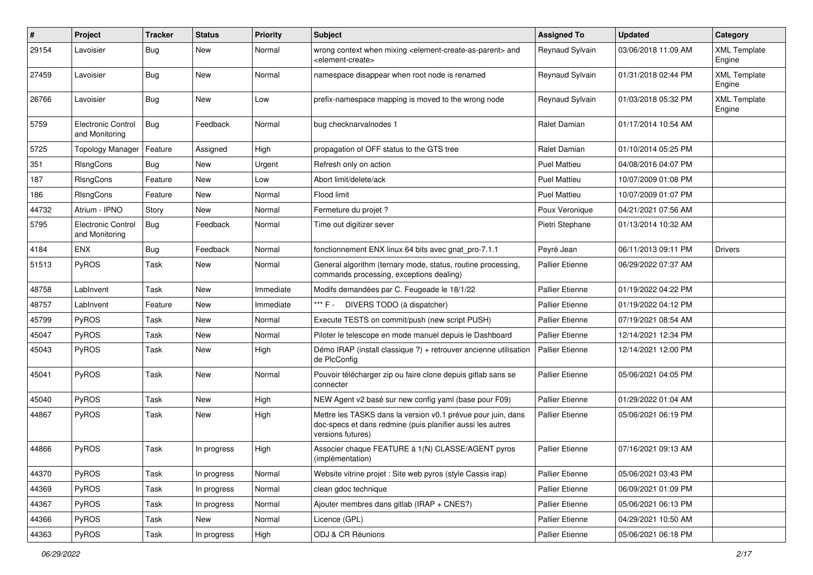| ∦     | Project                                     | <b>Tracker</b> | <b>Status</b> | <b>Priority</b> | <b>Subject</b>                                                                                                                                  | <b>Assigned To</b>     | <b>Updated</b>      | Category                      |
|-------|---------------------------------------------|----------------|---------------|-----------------|-------------------------------------------------------------------------------------------------------------------------------------------------|------------------------|---------------------|-------------------------------|
| 29154 | Lavoisier                                   | Bug            | New           | Normal          | wrong context when mixing <element-create-as-parent> and<br/><element-create></element-create></element-create-as-parent>                       | Reynaud Sylvain        | 03/06/2018 11:09 AM | <b>XML Template</b><br>Engine |
| 27459 | Lavoisier                                   | Bug            | New           | Normal          | namespace disappear when root node is renamed                                                                                                   | Reynaud Sylvain        | 01/31/2018 02:44 PM | <b>XML Template</b><br>Engine |
| 26766 | Lavoisier                                   | Bug            | New           | Low             | prefix-namespace mapping is moved to the wrong node                                                                                             | Reynaud Sylvain        | 01/03/2018 05:32 PM | <b>XML Template</b><br>Engine |
| 5759  | <b>Electronic Control</b><br>and Monitoring | Bug            | Feedback      | Normal          | bug checknarvalnodes 1                                                                                                                          | <b>Ralet Damian</b>    | 01/17/2014 10:54 AM |                               |
| 5725  | Topology Manager                            | Feature        | Assigned      | High            | propagation of OFF status to the GTS tree                                                                                                       | Ralet Damian           | 01/10/2014 05:25 PM |                               |
| 351   | RIsngCons                                   | Bug            | <b>New</b>    | Urgent          | Refresh only on action                                                                                                                          | <b>Puel Mattieu</b>    | 04/08/2016 04:07 PM |                               |
| 187   | <b>RIsngCons</b>                            | Feature        | New           | Low             | Abort limit/delete/ack                                                                                                                          | Puel Mattieu           | 10/07/2009 01:08 PM |                               |
| 186   | RIsngCons                                   | Feature        | <b>New</b>    | Normal          | Flood limit                                                                                                                                     | <b>Puel Mattieu</b>    | 10/07/2009 01:07 PM |                               |
| 44732 | Atrium - IPNO                               | Story          | New           | Normal          | Fermeture du projet ?                                                                                                                           | Poux Veronique         | 04/21/2021 07:56 AM |                               |
| 5795  | <b>Electronic Control</b><br>and Monitoring | Bug            | Feedback      | Normal          | Time out digitizer sever                                                                                                                        | Pietri Stephane        | 01/13/2014 10:32 AM |                               |
| 4184  | <b>ENX</b>                                  | Bug            | Feedback      | Normal          | fonctionnement ENX linux 64 bits avec gnat pro-7.1.1                                                                                            | Peyré Jean             | 06/11/2013 09:11 PM | <b>Drivers</b>                |
| 51513 | <b>PyROS</b>                                | Task           | New           | Normal          | General algorithm (ternary mode, status, routine processing,<br>commands processing, exceptions dealing)                                        | <b>Pallier Etienne</b> | 06/29/2022 07:37 AM |                               |
| 48758 | LabInvent                                   | Task           | New           | Immediate       | Modifs demandées par C. Feugeade le 18/1/22                                                                                                     | <b>Pallier Etienne</b> | 01/19/2022 04:22 PM |                               |
| 48757 | LabInvent                                   | Feature        | <b>New</b>    | Immediate       | *** F - DIVERS TODO (à dispatcher)                                                                                                              | <b>Pallier Etienne</b> | 01/19/2022 04:12 PM |                               |
| 45799 | <b>PyROS</b>                                | Task           | New           | Normal          | Execute TESTS on commit/push (new script PUSH)                                                                                                  | <b>Pallier Etienne</b> | 07/19/2021 08:54 AM |                               |
| 45047 | <b>PyROS</b>                                | Task           | <b>New</b>    | Normal          | Piloter le telescope en mode manuel depuis le Dashboard                                                                                         | <b>Pallier Etienne</b> | 12/14/2021 12:34 PM |                               |
| 45043 | <b>PyROS</b>                                | Task           | New           | High            | Démo IRAP (install classique ?) + retrouver ancienne utilisation<br>de PlcConfig                                                                | <b>Pallier Etienne</b> | 12/14/2021 12:00 PM |                               |
| 45041 | <b>PyROS</b>                                | Task           | New           | Normal          | Pouvoir télécharger zip ou faire clone depuis gitlab sans se<br>connecter                                                                       | <b>Pallier Etienne</b> | 05/06/2021 04:05 PM |                               |
| 45040 | <b>PyROS</b>                                | Task           | <b>New</b>    | High            | NEW Agent v2 basé sur new config yaml (base pour F09)                                                                                           | <b>Pallier Etienne</b> | 01/29/2022 01:04 AM |                               |
| 44867 | <b>PyROS</b>                                | Task           | New           | High            | Mettre les TASKS dans la version v0.1 prévue pour juin, dans<br>doc-specs et dans redmine (puis planifier aussi les autres<br>versions futures) | <b>Pallier Etienne</b> | 05/06/2021 06:19 PM |                               |
| 44866 | PyROS                                       | Task           | In progress   | High            | Associer chaque FEATURE à 1(N) CLASSE/AGENT pyros<br>(implémentation)                                                                           | <b>Pallier Etienne</b> | 07/16/2021 09:13 AM |                               |
| 44370 | PyROS                                       | Task           | In progress   | Normal          | Website vitrine projet : Site web pyros (style Cassis irap)                                                                                     | Pallier Etienne        | 05/06/2021 03:43 PM |                               |
| 44369 | PyROS                                       | Task           | In progress   | Normal          | clean gdoc technique                                                                                                                            | Pallier Etienne        | 06/09/2021 01:09 PM |                               |
| 44367 | PyROS                                       | Task           | In progress   | Normal          | Ajouter membres dans gitlab (IRAP + CNES?)                                                                                                      | Pallier Etienne        | 05/06/2021 06:13 PM |                               |
| 44366 | PyROS                                       | Task           | New           | Normal          | Licence (GPL)                                                                                                                                   | Pallier Etienne        | 04/29/2021 10:50 AM |                               |
| 44363 | PyROS                                       | Task           | In progress   | High            | ODJ & CR Réunions                                                                                                                               | Pallier Etienne        | 05/06/2021 06:18 PM |                               |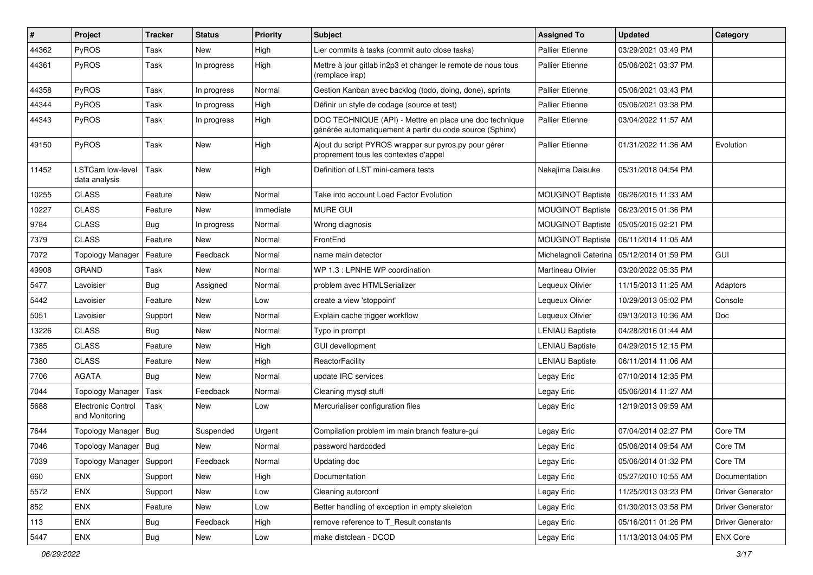| #     | Project                                  | <b>Tracker</b> | <b>Status</b> | <b>Priority</b> | <b>Subject</b>                                                                                                      | <b>Assigned To</b>       | <b>Updated</b>                              | Category         |
|-------|------------------------------------------|----------------|---------------|-----------------|---------------------------------------------------------------------------------------------------------------------|--------------------------|---------------------------------------------|------------------|
| 44362 | <b>PyROS</b>                             | Task           | <b>New</b>    | High            | Lier commits à tasks (commit auto close tasks)                                                                      | <b>Pallier Etienne</b>   | 03/29/2021 03:49 PM                         |                  |
| 44361 | PyROS                                    | Task           | In progress   | High            | Mettre à jour gitlab in2p3 et changer le remote de nous tous<br>(remplace irap)                                     | <b>Pallier Etienne</b>   | 05/06/2021 03:37 PM                         |                  |
| 44358 | PyROS                                    | Task           | In progress   | Normal          | Gestion Kanban avec backlog (todo, doing, done), sprints                                                            | <b>Pallier Etienne</b>   | 05/06/2021 03:43 PM                         |                  |
| 44344 | <b>PyROS</b>                             | Task           | In progress   | High            | Définir un style de codage (source et test)                                                                         | <b>Pallier Etienne</b>   | 05/06/2021 03:38 PM                         |                  |
| 44343 | <b>PyROS</b>                             | Task           | In progress   | High            | DOC TECHNIQUE (API) - Mettre en place une doc technique<br>générée automatiquement à partir du code source (Sphinx) | <b>Pallier Etienne</b>   | 03/04/2022 11:57 AM                         |                  |
| 49150 | <b>PyROS</b>                             | Task           | New           | High            | Ajout du script PYROS wrapper sur pyros.py pour gérer<br>proprement tous les contextes d'appel                      | Pallier Etienne          | 01/31/2022 11:36 AM                         | Evolution        |
| 11452 | <b>LSTCam low-level</b><br>data analysis | Task           | <b>New</b>    | High            | Definition of LST mini-camera tests                                                                                 | Nakajima Daisuke         | 05/31/2018 04:54 PM                         |                  |
| 10255 | <b>CLASS</b>                             | Feature        | <b>New</b>    | Normal          | Take into account Load Factor Evolution                                                                             |                          | MOUGINOT Baptiste   06/26/2015 11:33 AM     |                  |
| 10227 | <b>CLASS</b>                             | Feature        | New           | Immediate       | <b>MURE GUI</b>                                                                                                     | MOUGINOT Baptiste        | 06/23/2015 01:36 PM                         |                  |
| 9784  | <b>CLASS</b>                             | <b>Bug</b>     | In progress   | Normal          | Wrong diagnosis                                                                                                     | <b>MOUGINOT Baptiste</b> | 05/05/2015 02:21 PM                         |                  |
| 7379  | <b>CLASS</b>                             | Feature        | <b>New</b>    | Normal          | FrontEnd                                                                                                            |                          | MOUGINOT Baptiste   06/11/2014 11:05 AM     |                  |
| 7072  | <b>Topology Manager</b>                  | Feature        | Feedback      | Normal          | name main detector                                                                                                  |                          | Michelagnoli Caterina   05/12/2014 01:59 PM | GUI              |
| 49908 | <b>GRAND</b>                             | Task           | New           | Normal          | WP 1.3 : LPNHE WP coordination                                                                                      | Martineau Olivier        | 03/20/2022 05:35 PM                         |                  |
| 5477  | Lavoisier                                | <b>Bug</b>     | Assigned      | Normal          | problem avec HTMLSerializer                                                                                         | Lequeux Olivier          | 11/15/2013 11:25 AM                         | Adaptors         |
| 5442  | Lavoisier                                | Feature        | New           | Low             | create a view 'stoppoint'                                                                                           | Lequeux Olivier          | 10/29/2013 05:02 PM                         | Console          |
| 5051  | Lavoisier                                | Support        | <b>New</b>    | Normal          | Explain cache trigger workflow                                                                                      | Lequeux Olivier          | 09/13/2013 10:36 AM                         | Doc              |
| 13226 | <b>CLASS</b>                             | Bug            | New           | Normal          | Typo in prompt                                                                                                      | <b>LENIAU Baptiste</b>   | 04/28/2016 01:44 AM                         |                  |
| 7385  | <b>CLASS</b>                             | Feature        | New           | High            | <b>GUI devellopment</b>                                                                                             | <b>LENIAU Baptiste</b>   | 04/29/2015 12:15 PM                         |                  |
| 7380  | <b>CLASS</b>                             | Feature        | <b>New</b>    | High            | <b>ReactorFacility</b>                                                                                              | <b>LENIAU Baptiste</b>   | 06/11/2014 11:06 AM                         |                  |
| 7706  | <b>AGATA</b>                             | Bug            | New           | Normal          | update IRC services                                                                                                 | Legay Eric               | 07/10/2014 12:35 PM                         |                  |
| 7044  | <b>Topology Manager</b>                  | Task           | Feedback      | Normal          | Cleaning mysql stuff                                                                                                | Legay Eric               | 05/06/2014 11:27 AM                         |                  |
| 5688  | Electronic Control<br>and Monitoring     | Task           | <b>New</b>    | Low             | Mercurialiser configuration files                                                                                   | Legay Eric               | 12/19/2013 09:59 AM                         |                  |
| 7644  | <b>Topology Manager</b>                  | Bug            | Suspended     | Urgent          | Compilation problem im main branch feature-qui                                                                      | Legay Eric               | 07/04/2014 02:27 PM                         | Core TM          |
| 7046  | Topology Manager   Bug                   |                | New           | Normal          | password hardcoded                                                                                                  | Legay Eric               | 05/06/2014 09:54 AM                         | Core TM          |
| 7039  | Topology Manager Support                 |                | Feedback      | Normal          | Updating doc                                                                                                        | Legay Eric               | 05/06/2014 01:32 PM                         | Core TM          |
| 660   | <b>ENX</b>                               | Support        | New           | High            | Documentation                                                                                                       | Legay Eric               | 05/27/2010 10:55 AM                         | Documentation    |
| 5572  | ENX                                      | Support        | New           | Low             | Cleaning autorconf                                                                                                  | Legay Eric               | 11/25/2013 03:23 PM                         | Driver Generator |
| 852   | ENX                                      | Feature        | New           | Low             | Better handling of exception in empty skeleton                                                                      | Legay Eric               | 01/30/2013 03:58 PM                         | Driver Generator |
| 113   | ENX                                      | <b>Bug</b>     | Feedback      | High            | remove reference to T_Result constants                                                                              | Legay Eric               | 05/16/2011 01:26 PM                         | Driver Generator |
| 5447  | ENX                                      | Bug            | New           | Low             | make distclean - DCOD                                                                                               | Legay Eric               | 11/13/2013 04:05 PM                         | <b>ENX Core</b>  |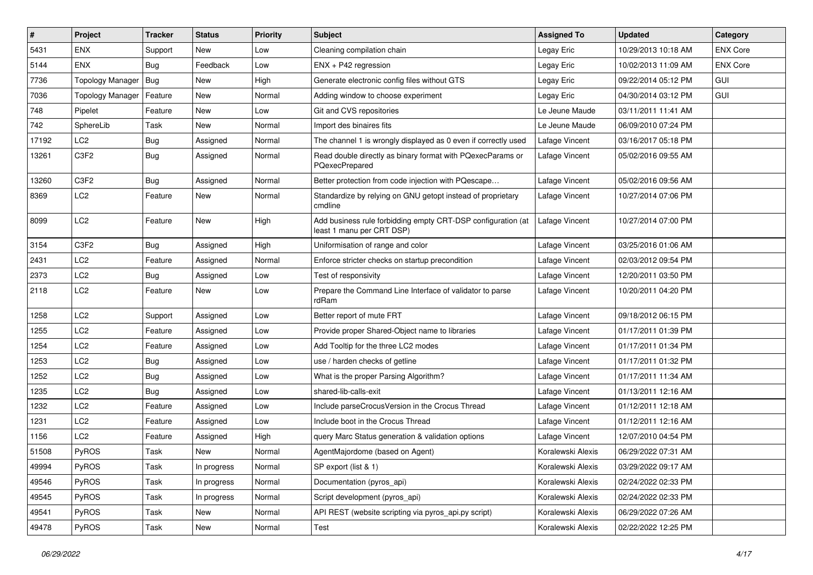| $\#$  | Project                 | <b>Tracker</b> | <b>Status</b> | <b>Priority</b> | <b>Subject</b>                                                                            | <b>Assigned To</b> | <b>Updated</b>      | Category        |
|-------|-------------------------|----------------|---------------|-----------------|-------------------------------------------------------------------------------------------|--------------------|---------------------|-----------------|
| 5431  | <b>ENX</b>              | Support        | New           | Low             | Cleaning compilation chain                                                                | Legay Eric         | 10/29/2013 10:18 AM | <b>ENX Core</b> |
| 5144  | ENX                     | Bug            | Feedback      | Low             | $ENX + P42$ regression                                                                    | Legay Eric         | 10/02/2013 11:09 AM | <b>ENX Core</b> |
| 7736  | <b>Topology Manager</b> | Bug            | New           | High            | Generate electronic config files without GTS                                              | Legay Eric         | 09/22/2014 05:12 PM | <b>GUI</b>      |
| 7036  | <b>Topology Manager</b> | Feature        | New           | Normal          | Adding window to choose experiment                                                        | Legay Eric         | 04/30/2014 03:12 PM | <b>GUI</b>      |
| 748   | Pipelet                 | Feature        | <b>New</b>    | Low             | Git and CVS repositories                                                                  | Le Jeune Maude     | 03/11/2011 11:41 AM |                 |
| 742   | SphereLib               | Task           | New           | Normal          | Import des binaires fits                                                                  | Le Jeune Maude     | 06/09/2010 07:24 PM |                 |
| 17192 | LC <sub>2</sub>         | <b>Bug</b>     | Assigned      | Normal          | The channel 1 is wrongly displayed as 0 even if correctly used                            | Lafage Vincent     | 03/16/2017 05:18 PM |                 |
| 13261 | C3F2                    | <b>Bug</b>     | Assigned      | Normal          | Read double directly as binary format with PQexecParams or<br>PQexecPrepared              | Lafage Vincent     | 05/02/2016 09:55 AM |                 |
| 13260 | C3F2                    | <b>Bug</b>     | Assigned      | Normal          | Better protection from code injection with PQescape                                       | Lafage Vincent     | 05/02/2016 09:56 AM |                 |
| 8369  | LC <sub>2</sub>         | Feature        | New           | Normal          | Standardize by relying on GNU getopt instead of proprietary<br>cmdline                    | Lafage Vincent     | 10/27/2014 07:06 PM |                 |
| 8099  | LC <sub>2</sub>         | Feature        | New           | High            | Add business rule forbidding empty CRT-DSP configuration (at<br>least 1 manu per CRT DSP) | Lafage Vincent     | 10/27/2014 07:00 PM |                 |
| 3154  | C3F2                    | <b>Bug</b>     | Assigned      | High            | Uniformisation of range and color                                                         | Lafage Vincent     | 03/25/2016 01:06 AM |                 |
| 2431  | LC <sub>2</sub>         | Feature        | Assigned      | Normal          | Enforce stricter checks on startup precondition                                           | Lafage Vincent     | 02/03/2012 09:54 PM |                 |
| 2373  | LC <sub>2</sub>         | <b>Bug</b>     | Assigned      | Low             | Test of responsivity                                                                      | Lafage Vincent     | 12/20/2011 03:50 PM |                 |
| 2118  | LC <sub>2</sub>         | Feature        | <b>New</b>    | Low             | Prepare the Command Line Interface of validator to parse<br>rdRam                         | Lafage Vincent     | 10/20/2011 04:20 PM |                 |
| 1258  | LC <sub>2</sub>         | Support        | Assigned      | Low             | Better report of mute FRT                                                                 | Lafage Vincent     | 09/18/2012 06:15 PM |                 |
| 1255  | LC <sub>2</sub>         | Feature        | Assigned      | Low             | Provide proper Shared-Object name to libraries                                            | Lafage Vincent     | 01/17/2011 01:39 PM |                 |
| 1254  | LC <sub>2</sub>         | Feature        | Assigned      | Low             | Add Tooltip for the three LC2 modes                                                       | Lafage Vincent     | 01/17/2011 01:34 PM |                 |
| 1253  | LC <sub>2</sub>         | <b>Bug</b>     | Assigned      | Low             | use / harden checks of getline                                                            | Lafage Vincent     | 01/17/2011 01:32 PM |                 |
| 1252  | LC <sub>2</sub>         | <b>Bug</b>     | Assigned      | Low             | What is the proper Parsing Algorithm?                                                     | Lafage Vincent     | 01/17/2011 11:34 AM |                 |
| 1235  | LC <sub>2</sub>         | <b>Bug</b>     | Assigned      | Low             | shared-lib-calls-exit                                                                     | Lafage Vincent     | 01/13/2011 12:16 AM |                 |
| 1232  | LC <sub>2</sub>         | Feature        | Assigned      | Low             | Include parseCrocusVersion in the Crocus Thread                                           | Lafage Vincent     | 01/12/2011 12:18 AM |                 |
| 1231  | LC <sub>2</sub>         | Feature        | Assigned      | Low             | Include boot in the Crocus Thread                                                         | Lafage Vincent     | 01/12/2011 12:16 AM |                 |
| 1156  | LC <sub>2</sub>         | Feature        | Assigned      | High            | query Marc Status generation & validation options                                         | Lafage Vincent     | 12/07/2010 04:54 PM |                 |
| 51508 | PyROS                   | Task           | New           | Normal          | AgentMajordome (based on Agent)                                                           | Koralewski Alexis  | 06/29/2022 07:31 AM |                 |
| 49994 | PyROS                   | Task           | In progress   | Normal          | SP export (list & 1)                                                                      | Koralewski Alexis  | 03/29/2022 09:17 AM |                 |
| 49546 | PyROS                   | Task           | In progress   | Normal          | Documentation (pyros_api)                                                                 | Koralewski Alexis  | 02/24/2022 02:33 PM |                 |
| 49545 | PyROS                   | Task           | In progress   | Normal          | Script development (pyros_api)                                                            | Koralewski Alexis  | 02/24/2022 02:33 PM |                 |
| 49541 | PyROS                   | Task           | New           | Normal          | API REST (website scripting via pyros_api.py script)                                      | Koralewski Alexis  | 06/29/2022 07:26 AM |                 |
| 49478 | PyROS                   | Task           | New           | Normal          | Test                                                                                      | Koralewski Alexis  | 02/22/2022 12:25 PM |                 |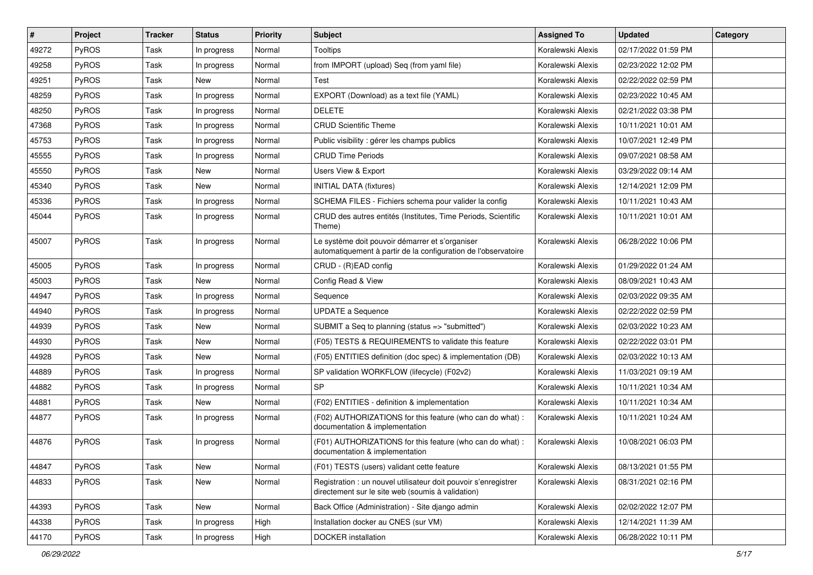| $\#$  | Project      | <b>Tracker</b> | <b>Status</b> | <b>Priority</b> | Subject                                                                                                              | <b>Assigned To</b> | <b>Updated</b>      | Category |
|-------|--------------|----------------|---------------|-----------------|----------------------------------------------------------------------------------------------------------------------|--------------------|---------------------|----------|
| 49272 | PyROS        | Task           | In progress   | Normal          | <b>Tooltips</b>                                                                                                      | Koralewski Alexis  | 02/17/2022 01:59 PM |          |
| 49258 | PyROS        | Task           | In progress   | Normal          | from IMPORT (upload) Seq (from yaml file)                                                                            | Koralewski Alexis  | 02/23/2022 12:02 PM |          |
| 49251 | PyROS        | Task           | New           | Normal          | Test                                                                                                                 | Koralewski Alexis  | 02/22/2022 02:59 PM |          |
| 48259 | PyROS        | Task           | In progress   | Normal          | EXPORT (Download) as a text file (YAML)                                                                              | Koralewski Alexis  | 02/23/2022 10:45 AM |          |
| 48250 | PyROS        | Task           | In progress   | Normal          | <b>DELETE</b>                                                                                                        | Koralewski Alexis  | 02/21/2022 03:38 PM |          |
| 47368 | PyROS        | Task           | In progress   | Normal          | <b>CRUD Scientific Theme</b>                                                                                         | Koralewski Alexis  | 10/11/2021 10:01 AM |          |
| 45753 | PyROS        | Task           | In progress   | Normal          | Public visibility : gérer les champs publics                                                                         | Koralewski Alexis  | 10/07/2021 12:49 PM |          |
| 45555 | <b>PyROS</b> | Task           | In progress   | Normal          | <b>CRUD Time Periods</b>                                                                                             | Koralewski Alexis  | 09/07/2021 08:58 AM |          |
| 45550 | PyROS        | Task           | New           | Normal          | Users View & Export                                                                                                  | Koralewski Alexis  | 03/29/2022 09:14 AM |          |
| 45340 | PyROS        | Task           | <b>New</b>    | Normal          | <b>INITIAL DATA (fixtures)</b>                                                                                       | Koralewski Alexis  | 12/14/2021 12:09 PM |          |
| 45336 | PyROS        | Task           | In progress   | Normal          | SCHEMA FILES - Fichiers schema pour valider la config                                                                | Koralewski Alexis  | 10/11/2021 10:43 AM |          |
| 45044 | PyROS        | Task           | In progress   | Normal          | CRUD des autres entités (Institutes, Time Periods, Scientific<br>Theme)                                              | Koralewski Alexis  | 10/11/2021 10:01 AM |          |
| 45007 | PyROS        | Task           | In progress   | Normal          | Le système doit pouvoir démarrer et s'organiser<br>automatiquement à partir de la configuration de l'observatoire    | Koralewski Alexis  | 06/28/2022 10:06 PM |          |
| 45005 | PyROS        | Task           | In progress   | Normal          | CRUD - (R)EAD config                                                                                                 | Koralewski Alexis  | 01/29/2022 01:24 AM |          |
| 45003 | PyROS        | Task           | New           | Normal          | Config Read & View                                                                                                   | Koralewski Alexis  | 08/09/2021 10:43 AM |          |
| 44947 | PyROS        | Task           | In progress   | Normal          | Sequence                                                                                                             | Koralewski Alexis  | 02/03/2022 09:35 AM |          |
| 44940 | <b>PyROS</b> | Task           | In progress   | Normal          | <b>UPDATE a Sequence</b>                                                                                             | Koralewski Alexis  | 02/22/2022 02:59 PM |          |
| 44939 | PyROS        | Task           | <b>New</b>    | Normal          | SUBMIT a Seq to planning (status => "submitted")                                                                     | Koralewski Alexis  | 02/03/2022 10:23 AM |          |
| 44930 | PyROS        | Task           | New           | Normal          | (F05) TESTS & REQUIREMENTS to validate this feature                                                                  | Koralewski Alexis  | 02/22/2022 03:01 PM |          |
| 44928 | PyROS        | Task           | New           | Normal          | (F05) ENTITIES definition (doc spec) & implementation (DB)                                                           | Koralewski Alexis  | 02/03/2022 10:13 AM |          |
| 44889 | PyROS        | Task           | In progress   | Normal          | SP validation WORKFLOW (lifecycle) (F02v2)                                                                           | Koralewski Alexis  | 11/03/2021 09:19 AM |          |
| 44882 | PyROS        | Task           | In progress   | Normal          | <b>SP</b>                                                                                                            | Koralewski Alexis  | 10/11/2021 10:34 AM |          |
| 44881 | PyROS        | Task           | New           | Normal          | (F02) ENTITIES - definition & implementation                                                                         | Koralewski Alexis  | 10/11/2021 10:34 AM |          |
| 44877 | <b>PyROS</b> | Task           | In progress   | Normal          | (F02) AUTHORIZATIONS for this feature (who can do what) :<br>documentation & implementation                          | Koralewski Alexis  | 10/11/2021 10:24 AM |          |
| 44876 | PyROS        | Task           | In progress   | Normal          | (F01) AUTHORIZATIONS for this feature (who can do what) :<br>documentation & implementation                          | Koralewski Alexis  | 10/08/2021 06:03 PM |          |
| 44847 | PyROS        | Task           | New           | Normal          | (F01) TESTS (users) validant cette feature                                                                           | Koralewski Alexis  | 08/13/2021 01:55 PM |          |
| 44833 | PyROS        | Task           | New           | Normal          | Registration : un nouvel utilisateur doit pouvoir s'enregistrer<br>directement sur le site web (soumis à validation) | Koralewski Alexis  | 08/31/2021 02:16 PM |          |
| 44393 | PyROS        | Task           | New           | Normal          | Back Office (Administration) - Site diango admin                                                                     | Koralewski Alexis  | 02/02/2022 12:07 PM |          |
| 44338 | PyROS        | Task           | In progress   | High            | Installation docker au CNES (sur VM)                                                                                 | Koralewski Alexis  | 12/14/2021 11:39 AM |          |
| 44170 | PyROS        | Task           | In progress   | High            | DOCKER installation                                                                                                  | Koralewski Alexis  | 06/28/2022 10:11 PM |          |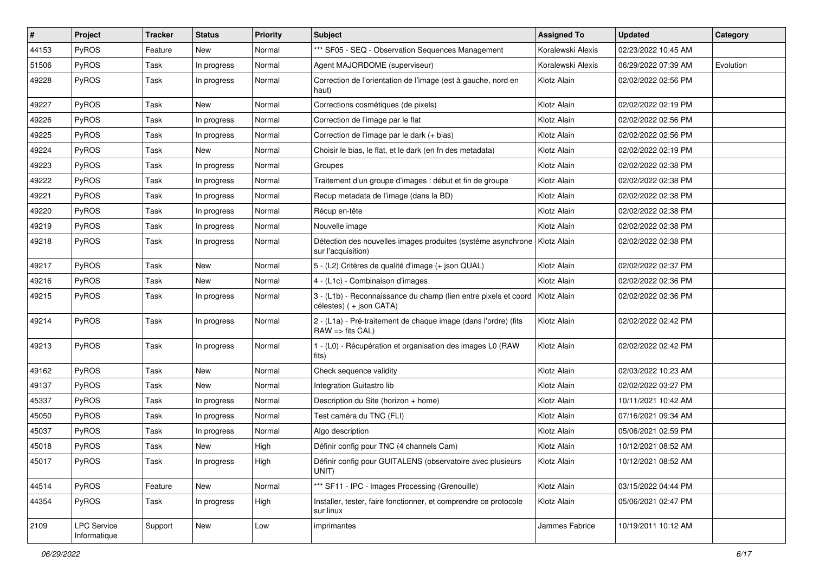| #     | Project                            | <b>Tracker</b> | <b>Status</b> | <b>Priority</b> | Subject                                                                                           | <b>Assigned To</b> | <b>Updated</b>      | Category  |
|-------|------------------------------------|----------------|---------------|-----------------|---------------------------------------------------------------------------------------------------|--------------------|---------------------|-----------|
| 44153 | PyROS                              | Feature        | New           | Normal          | *** SF05 - SEQ - Observation Sequences Management                                                 | Koralewski Alexis  | 02/23/2022 10:45 AM |           |
| 51506 | PyROS                              | Task           | In progress   | Normal          | Agent MAJORDOME (superviseur)                                                                     | Koralewski Alexis  | 06/29/2022 07:39 AM | Evolution |
| 49228 | <b>PyROS</b>                       | Task           | In progress   | Normal          | Correction de l'orientation de l'image (est à gauche, nord en<br>haut)                            | Klotz Alain        | 02/02/2022 02:56 PM |           |
| 49227 | PyROS                              | Task           | <b>New</b>    | Normal          | Corrections cosmétiques (de pixels)                                                               | Klotz Alain        | 02/02/2022 02:19 PM |           |
| 49226 | PyROS                              | Task           | In progress   | Normal          | Correction de l'image par le flat                                                                 | Klotz Alain        | 02/02/2022 02:56 PM |           |
| 49225 | PyROS                              | Task           | In progress   | Normal          | Correction de l'image par le dark (+ bias)                                                        | Klotz Alain        | 02/02/2022 02:56 PM |           |
| 49224 | PyROS                              | Task           | New           | Normal          | Choisir le bias, le flat, et le dark (en fn des metadata)                                         | Klotz Alain        | 02/02/2022 02:19 PM |           |
| 49223 | PyROS                              | Task           | In progress   | Normal          | Groupes                                                                                           | Klotz Alain        | 02/02/2022 02:38 PM |           |
| 49222 | PyROS                              | Task           | In progress   | Normal          | Traitement d'un groupe d'images : début et fin de groupe                                          | Klotz Alain        | 02/02/2022 02:38 PM |           |
| 49221 | PyROS                              | Task           | In progress   | Normal          | Recup metadata de l'image (dans la BD)                                                            | Klotz Alain        | 02/02/2022 02:38 PM |           |
| 49220 | PyROS                              | Task           | In progress   | Normal          | Récup en-tête                                                                                     | Klotz Alain        | 02/02/2022 02:38 PM |           |
| 49219 | PyROS                              | Task           | In progress   | Normal          | Nouvelle image                                                                                    | Klotz Alain        | 02/02/2022 02:38 PM |           |
| 49218 | PyROS                              | Task           | In progress   | Normal          | Détection des nouvelles images produites (système asynchrone   Klotz Alain<br>sur l'acquisition)  |                    | 02/02/2022 02:38 PM |           |
| 49217 | PyROS                              | Task           | New           | Normal          | 5 - (L2) Critères de qualité d'image (+ json QUAL)                                                | Klotz Alain        | 02/02/2022 02:37 PM |           |
| 49216 | PyROS                              | Task           | New           | Normal          | 4 - (L1c) - Combinaison d'images                                                                  | Klotz Alain        | 02/02/2022 02:36 PM |           |
| 49215 | PyROS                              | Task           | In progress   | Normal          | 3 - (L1b) - Reconnaissance du champ (lien entre pixels et coord<br>célestes) ( + json CATA)       | Klotz Alain        | 02/02/2022 02:36 PM |           |
| 49214 | PyROS                              | Task           | In progress   | Normal          | 2 - (L1a) - Pré-traitement de chaque image (dans l'ordre) (fits<br>$RAW \Rightarrow$ fits $CAL$ ) | Klotz Alain        | 02/02/2022 02:42 PM |           |
| 49213 | PyROS                              | Task           | In progress   | Normal          | 1 - (L0) - Récupération et organisation des images L0 (RAW<br>fits)                               | Klotz Alain        | 02/02/2022 02:42 PM |           |
| 49162 | PyROS                              | Task           | New           | Normal          | Check sequence validity                                                                           | Klotz Alain        | 02/03/2022 10:23 AM |           |
| 49137 | PyROS                              | Task           | <b>New</b>    | Normal          | Integration Guitastro lib                                                                         | Klotz Alain        | 02/02/2022 03:27 PM |           |
| 45337 | PyROS                              | Task           | In progress   | Normal          | Description du Site (horizon + home)                                                              | Klotz Alain        | 10/11/2021 10:42 AM |           |
| 45050 | <b>PyROS</b>                       | Task           | In progress   | Normal          | Test caméra du TNC (FLI)                                                                          | Klotz Alain        | 07/16/2021 09:34 AM |           |
| 45037 | PyROS                              | Task           | In progress   | Normal          | Algo description                                                                                  | Klotz Alain        | 05/06/2021 02:59 PM |           |
| 45018 | PyROS                              | Task           | New           | High            | Définir config pour TNC (4 channels Cam)                                                          | Klotz Alain        | 10/12/2021 08:52 AM |           |
| 45017 | PyROS                              | Task           | In progress   | High            | Définir config pour GUITALENS (observatoire avec plusieurs<br>UNIT)                               | Klotz Alain        | 10/12/2021 08:52 AM |           |
| 44514 | PyROS                              | Feature        | New           | Normal          | *** SF11 - IPC - Images Processing (Grenouille)                                                   | Klotz Alain        | 03/15/2022 04:44 PM |           |
| 44354 | PyROS                              | Task           | In progress   | High            | Installer, tester, faire fonctionner, et comprendre ce protocole<br>sur linux                     | Klotz Alain        | 05/06/2021 02:47 PM |           |
| 2109  | <b>LPC Service</b><br>Informatique | Support        | New           | Low             | imprimantes                                                                                       | Jammes Fabrice     | 10/19/2011 10:12 AM |           |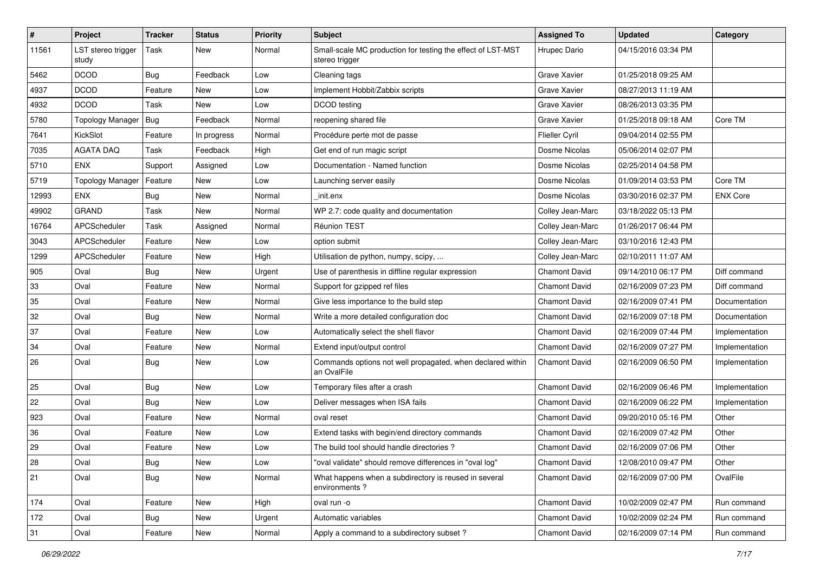| $\sharp$ | Project                     | <b>Tracker</b> | <b>Status</b> | <b>Priority</b> | Subject                                                                       | <b>Assigned To</b>   | <b>Updated</b>      | Category        |
|----------|-----------------------------|----------------|---------------|-----------------|-------------------------------------------------------------------------------|----------------------|---------------------|-----------------|
| 11561    | LST stereo trigger<br>study | Task           | New           | Normal          | Small-scale MC production for testing the effect of LST-MST<br>stereo trigger | Hrupec Dario         | 04/15/2016 03:34 PM |                 |
| 5462     | <b>DCOD</b>                 | Bug            | Feedback      | Low             | Cleaning tags                                                                 | Grave Xavier         | 01/25/2018 09:25 AM |                 |
| 4937     | <b>DCOD</b>                 | Feature        | New           | Low             | Implement Hobbit/Zabbix scripts                                               | Grave Xavier         | 08/27/2013 11:19 AM |                 |
| 4932     | <b>DCOD</b>                 | Task           | New           | Low             | DCOD testing                                                                  | Grave Xavier         | 08/26/2013 03:35 PM |                 |
| 5780     | <b>Topology Manager</b>     | Bug            | Feedback      | Normal          | reopening shared file                                                         | <b>Grave Xavier</b>  | 01/25/2018 09:18 AM | Core TM         |
| 7641     | KickSlot                    | Feature        | In progress   | Normal          | Procédure perte mot de passe                                                  | Flieller Cyril       | 09/04/2014 02:55 PM |                 |
| 7035     | <b>AGATA DAQ</b>            | Task           | Feedback      | High            | Get end of run magic script                                                   | Dosme Nicolas        | 05/06/2014 02:07 PM |                 |
| 5710     | <b>ENX</b>                  | Support        | Assigned      | Low             | Documentation - Named function                                                | Dosme Nicolas        | 02/25/2014 04:58 PM |                 |
| 5719     | <b>Topology Manager</b>     | Feature        | New           | Low             | Launching server easily                                                       | Dosme Nicolas        | 01/09/2014 03:53 PM | Core TM         |
| 12993    | <b>ENX</b>                  | Bug            | New           | Normal          | init.enx                                                                      | Dosme Nicolas        | 03/30/2016 02:37 PM | <b>ENX Core</b> |
| 49902    | GRAND                       | Task           | New           | Normal          | WP 2.7: code quality and documentation                                        | Colley Jean-Marc     | 03/18/2022 05:13 PM |                 |
| 16764    | APCScheduler                | Task           | Assigned      | Normal          | Réunion TEST                                                                  | Colley Jean-Marc     | 01/26/2017 06:44 PM |                 |
| 3043     | APCScheduler                | Feature        | New           | Low             | option submit                                                                 | Colley Jean-Marc     | 03/10/2016 12:43 PM |                 |
| 1299     | APCScheduler                | Feature        | <b>New</b>    | High            | Utilisation de python, numpy, scipy,                                          | Colley Jean-Marc     | 02/10/2011 11:07 AM |                 |
| 905      | Oval                        | Bug            | New           | Urgent          | Use of parenthesis in diffline regular expression                             | Chamont David        | 09/14/2010 06:17 PM | Diff command    |
| 33       | Oval                        | Feature        | <b>New</b>    | Normal          | Support for gzipped ref files                                                 | <b>Chamont David</b> | 02/16/2009 07:23 PM | Diff command    |
| 35       | Oval                        | Feature        | New           | Normal          | Give less importance to the build step                                        | <b>Chamont David</b> | 02/16/2009 07:41 PM | Documentation   |
| 32       | Oval                        | Bug            | <b>New</b>    | Normal          | Write a more detailed configuration doc                                       | <b>Chamont David</b> | 02/16/2009 07:18 PM | Documentation   |
| 37       | Oval                        | Feature        | <b>New</b>    | Low             | Automatically select the shell flavor                                         | <b>Chamont David</b> | 02/16/2009 07:44 PM | Implementation  |
| 34       | Oval                        | Feature        | New           | Normal          | Extend input/output control                                                   | <b>Chamont David</b> | 02/16/2009 07:27 PM | Implementation  |
| 26       | Oval                        | Bug            | New           | Low             | Commands options not well propagated, when declared within<br>an OvalFile     | <b>Chamont David</b> | 02/16/2009 06:50 PM | Implementation  |
| 25       | Oval                        | Bug            | New           | Low             | Temporary files after a crash                                                 | <b>Chamont David</b> | 02/16/2009 06:46 PM | Implementation  |
| 22       | Oval                        | Bug            | New           | Low             | Deliver messages when ISA fails                                               | <b>Chamont David</b> | 02/16/2009 06:22 PM | Implementation  |
| 923      | Oval                        | Feature        | New           | Normal          | oval reset                                                                    | <b>Chamont David</b> | 09/20/2010 05:16 PM | Other           |
| 36       | Oval                        | Feature        | <b>New</b>    | Low             | Extend tasks with begin/end directory commands                                | Chamont David        | 02/16/2009 07:42 PM | Other           |
| 29       | Oval                        | Feature        | <b>New</b>    | Low             | The build tool should handle directories?                                     | <b>Chamont David</b> | 02/16/2009 07:06 PM | Other           |
| 28       | Oval                        | Bug            | New           | Low             | "oval validate" should remove differences in "oval log'                       | <b>Chamont David</b> | 12/08/2010 09:47 PM | Other           |
| 21       | Oval                        | <b>Bug</b>     | New           | Normal          | What happens when a subdirectory is reused in several<br>environments?        | <b>Chamont David</b> | 02/16/2009 07:00 PM | OvalFile        |
| 174      | Oval                        | Feature        | New           | High            | oval run -o                                                                   | Chamont David        | 10/02/2009 02:47 PM | Run command     |
| 172      | Oval                        | <b>Bug</b>     | New           | Urgent          | Automatic variables                                                           | <b>Chamont David</b> | 10/02/2009 02:24 PM | Run command     |
| 31       | Oval                        | Feature        | New           | Normal          | Apply a command to a subdirectory subset?                                     | Chamont David        | 02/16/2009 07:14 PM | Run command     |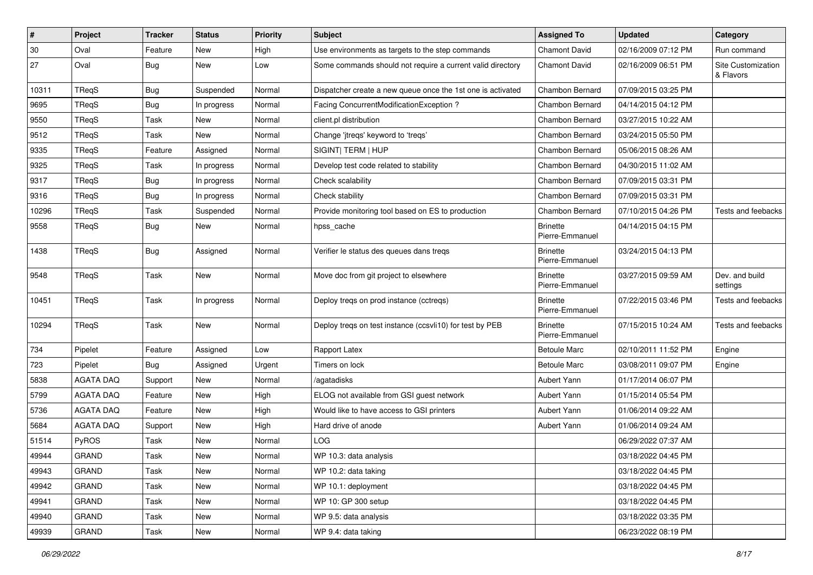| $\pmb{\#}$ | Project          | <b>Tracker</b> | <b>Status</b> | <b>Priority</b> | <b>Subject</b>                                              | <b>Assigned To</b>                 | <b>Updated</b>      | Category                        |
|------------|------------------|----------------|---------------|-----------------|-------------------------------------------------------------|------------------------------------|---------------------|---------------------------------|
| $30\,$     | Oval             | Feature        | New           | High            | Use environments as targets to the step commands            | <b>Chamont David</b>               | 02/16/2009 07:12 PM | Run command                     |
| 27         | Oval             | <b>Bug</b>     | New           | Low             | Some commands should not require a current valid directory  | <b>Chamont David</b>               | 02/16/2009 06:51 PM | Site Customization<br>& Flavors |
| 10311      | TReqS            | Bug            | Suspended     | Normal          | Dispatcher create a new queue once the 1st one is activated | Chambon Bernard                    | 07/09/2015 03:25 PM |                                 |
| 9695       | TReqS            | Bug            | In progress   | Normal          | Facing ConcurrentModificationException?                     | Chambon Bernard                    | 04/14/2015 04:12 PM |                                 |
| 9550       | TReqS            | Task           | New           | Normal          | client.pl distribution                                      | Chambon Bernard                    | 03/27/2015 10:22 AM |                                 |
| 9512       | TReqS            | Task           | <b>New</b>    | Normal          | Change 'jtreqs' keyword to 'treqs'                          | Chambon Bernard                    | 03/24/2015 05:50 PM |                                 |
| 9335       | TReqS            | Feature        | Assigned      | Normal          | SIGINT  TERM   HUP                                          | Chambon Bernard                    | 05/06/2015 08:26 AM |                                 |
| 9325       | TReqS            | Task           | In progress   | Normal          | Develop test code related to stability                      | Chambon Bernard                    | 04/30/2015 11:02 AM |                                 |
| 9317       | TReqS            | <b>Bug</b>     | In progress   | Normal          | Check scalability                                           | Chambon Bernard                    | 07/09/2015 03:31 PM |                                 |
| 9316       | TReqS            | Bug            | In progress   | Normal          | Check stability                                             | Chambon Bernard                    | 07/09/2015 03:31 PM |                                 |
| 10296      | TReqS            | Task           | Suspended     | Normal          | Provide monitoring tool based on ES to production           | Chambon Bernard                    | 07/10/2015 04:26 PM | Tests and feebacks              |
| 9558       | TReqS            | Bug            | New           | Normal          | hpss_cache                                                  | <b>Brinette</b><br>Pierre-Emmanuel | 04/14/2015 04:15 PM |                                 |
| 1438       | TReqS            | <b>Bug</b>     | Assigned      | Normal          | Verifier le status des queues dans tregs                    | <b>Brinette</b><br>Pierre-Emmanuel | 03/24/2015 04:13 PM |                                 |
| 9548       | TReqS            | Task           | New           | Normal          | Move doc from git project to elsewhere                      | <b>Brinette</b><br>Pierre-Emmanuel | 03/27/2015 09:59 AM | Dev. and build<br>settings      |
| 10451      | TReqS            | Task           | In progress   | Normal          | Deploy treqs on prod instance (cctreqs)                     | <b>Brinette</b><br>Pierre-Emmanuel | 07/22/2015 03:46 PM | Tests and feebacks              |
| 10294      | TReqS            | Task           | New           | Normal          | Deploy treqs on test instance (ccsvli10) for test by PEB    | <b>Brinette</b><br>Pierre-Emmanuel | 07/15/2015 10:24 AM | Tests and feebacks              |
| 734        | Pipelet          | Feature        | Assigned      | Low             | Rapport Latex                                               | <b>Betoule Marc</b>                | 02/10/2011 11:52 PM | Engine                          |
| 723        | Pipelet          | <b>Bug</b>     | Assigned      | Urgent          | Timers on lock                                              | <b>Betoule Marc</b>                | 03/08/2011 09:07 PM | Engine                          |
| 5838       | <b>AGATA DAQ</b> | Support        | <b>New</b>    | Normal          | /agatadisks                                                 | Aubert Yann                        | 01/17/2014 06:07 PM |                                 |
| 5799       | <b>AGATA DAQ</b> | Feature        | New           | High            | ELOG not available from GSI guest network                   | Aubert Yann                        | 01/15/2014 05:54 PM |                                 |
| 5736       | <b>AGATA DAQ</b> | Feature        | New           | High            | Would like to have access to GSI printers                   | Aubert Yann                        | 01/06/2014 09:22 AM |                                 |
| 5684       | <b>AGATA DAQ</b> | Support        | New           | High            | Hard drive of anode                                         | Aubert Yann                        | 01/06/2014 09:24 AM |                                 |
| 51514      | PyROS            | Task           | <b>New</b>    | Normal          | LOG                                                         |                                    | 06/29/2022 07:37 AM |                                 |
| 49944      | <b>GRAND</b>     | Task           | New           | Normal          | WP 10.3: data analysis                                      |                                    | 03/18/2022 04:45 PM |                                 |
| 49943      | <b>GRAND</b>     | Task           | New           | Normal          | WP 10.2: data taking                                        |                                    | 03/18/2022 04:45 PM |                                 |
| 49942      | <b>GRAND</b>     | Task           | New           | Normal          | WP 10.1: deployment                                         |                                    | 03/18/2022 04:45 PM |                                 |
| 49941      | <b>GRAND</b>     | Task           | New           | Normal          | WP 10: GP 300 setup                                         |                                    | 03/18/2022 04:45 PM |                                 |
| 49940      | GRAND            | Task           | New           | Normal          | WP 9.5: data analysis                                       |                                    | 03/18/2022 03:35 PM |                                 |
| 49939      | GRAND            | Task           | New           | Normal          | WP 9.4: data taking                                         |                                    | 06/23/2022 08:19 PM |                                 |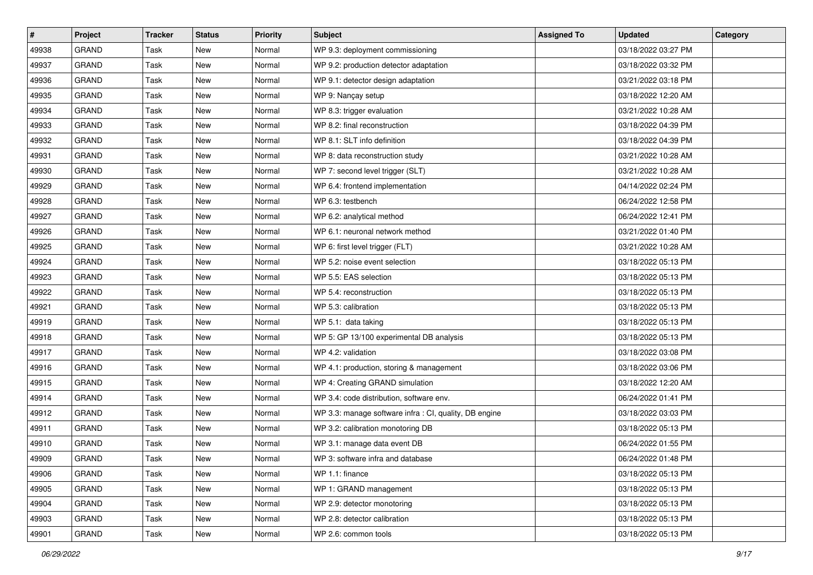| $\sharp$ | Project      | <b>Tracker</b> | <b>Status</b> | <b>Priority</b> | <b>Subject</b>                                         | <b>Assigned To</b> | <b>Updated</b>      | Category |
|----------|--------------|----------------|---------------|-----------------|--------------------------------------------------------|--------------------|---------------------|----------|
| 49938    | <b>GRAND</b> | Task           | <b>New</b>    | Normal          | WP 9.3: deployment commissioning                       |                    | 03/18/2022 03:27 PM |          |
| 49937    | <b>GRAND</b> | Task           | New           | Normal          | WP 9.2: production detector adaptation                 |                    | 03/18/2022 03:32 PM |          |
| 49936    | <b>GRAND</b> | Task           | New           | Normal          | WP 9.1: detector design adaptation                     |                    | 03/21/2022 03:18 PM |          |
| 49935    | <b>GRAND</b> | Task           | <b>New</b>    | Normal          | WP 9: Nançay setup                                     |                    | 03/18/2022 12:20 AM |          |
| 49934    | <b>GRAND</b> | Task           | <b>New</b>    | Normal          | WP 8.3: trigger evaluation                             |                    | 03/21/2022 10:28 AM |          |
| 49933    | <b>GRAND</b> | Task           | New           | Normal          | WP 8.2: final reconstruction                           |                    | 03/18/2022 04:39 PM |          |
| 49932    | <b>GRAND</b> | Task           | <b>New</b>    | Normal          | WP 8.1: SLT info definition                            |                    | 03/18/2022 04:39 PM |          |
| 49931    | <b>GRAND</b> | Task           | New           | Normal          | WP 8: data reconstruction study                        |                    | 03/21/2022 10:28 AM |          |
| 49930    | <b>GRAND</b> | Task           | New           | Normal          | WP 7: second level trigger (SLT)                       |                    | 03/21/2022 10:28 AM |          |
| 49929    | <b>GRAND</b> | Task           | <b>New</b>    | Normal          | WP 6.4: frontend implementation                        |                    | 04/14/2022 02:24 PM |          |
| 49928    | <b>GRAND</b> | Task           | New           | Normal          | WP 6.3: testbench                                      |                    | 06/24/2022 12:58 PM |          |
| 49927    | <b>GRAND</b> | Task           | <b>New</b>    | Normal          | WP 6.2: analytical method                              |                    | 06/24/2022 12:41 PM |          |
| 49926    | <b>GRAND</b> | Task           | New           | Normal          | WP 6.1: neuronal network method                        |                    | 03/21/2022 01:40 PM |          |
| 49925    | <b>GRAND</b> | Task           | <b>New</b>    | Normal          | WP 6: first level trigger (FLT)                        |                    | 03/21/2022 10:28 AM |          |
| 49924    | <b>GRAND</b> | Task           | <b>New</b>    | Normal          | WP 5.2: noise event selection                          |                    | 03/18/2022 05:13 PM |          |
| 49923    | GRAND        | Task           | New           | Normal          | WP 5.5: EAS selection                                  |                    | 03/18/2022 05:13 PM |          |
| 49922    | <b>GRAND</b> | Task           | <b>New</b>    | Normal          | WP 5.4: reconstruction                                 |                    | 03/18/2022 05:13 PM |          |
| 49921    | <b>GRAND</b> | Task           | New           | Normal          | WP 5.3: calibration                                    |                    | 03/18/2022 05:13 PM |          |
| 49919    | <b>GRAND</b> | Task           | New           | Normal          | WP 5.1: data taking                                    |                    | 03/18/2022 05:13 PM |          |
| 49918    | <b>GRAND</b> | Task           | New           | Normal          | WP 5: GP 13/100 experimental DB analysis               |                    | 03/18/2022 05:13 PM |          |
| 49917    | <b>GRAND</b> | Task           | New           | Normal          | WP 4.2: validation                                     |                    | 03/18/2022 03:08 PM |          |
| 49916    | <b>GRAND</b> | Task           | New           | Normal          | WP 4.1: production, storing & management               |                    | 03/18/2022 03:06 PM |          |
| 49915    | <b>GRAND</b> | Task           | <b>New</b>    | Normal          | WP 4: Creating GRAND simulation                        |                    | 03/18/2022 12:20 AM |          |
| 49914    | <b>GRAND</b> | Task           | New           | Normal          | WP 3.4: code distribution, software env.               |                    | 06/24/2022 01:41 PM |          |
| 49912    | <b>GRAND</b> | Task           | <b>New</b>    | Normal          | WP 3.3: manage software infra : CI, quality, DB engine |                    | 03/18/2022 03:03 PM |          |
| 49911    | <b>GRAND</b> | Task           | New           | Normal          | WP 3.2: calibration monotoring DB                      |                    | 03/18/2022 05:13 PM |          |
| 49910    | <b>GRAND</b> | Task           | <b>New</b>    | Normal          | WP 3.1: manage data event DB                           |                    | 06/24/2022 01:55 PM |          |
| 49909    | GRAND        | Task           | New           | Normal          | WP 3: software infra and database                      |                    | 06/24/2022 01:48 PM |          |
| 49906    | <b>GRAND</b> | Task           | New           | Normal          | WP 1.1: finance                                        |                    | 03/18/2022 05:13 PM |          |
| 49905    | GRAND        | Task           | New           | Normal          | WP 1: GRAND management                                 |                    | 03/18/2022 05:13 PM |          |
| 49904    | GRAND        | Task           | New           | Normal          | WP 2.9: detector monotoring                            |                    | 03/18/2022 05:13 PM |          |
| 49903    | GRAND        | Task           | New           | Normal          | WP 2.8: detector calibration                           |                    | 03/18/2022 05:13 PM |          |
| 49901    | GRAND        | Task           | New           | Normal          | WP 2.6: common tools                                   |                    | 03/18/2022 05:13 PM |          |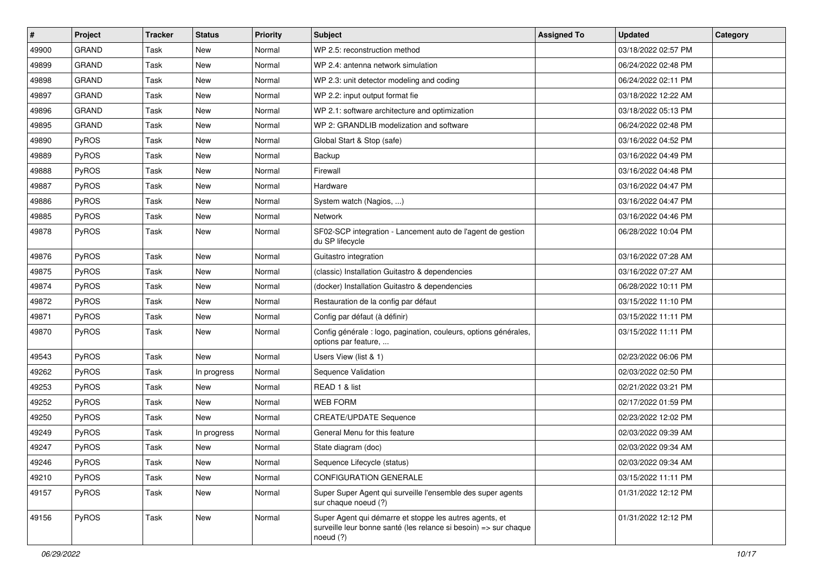| $\pmb{\#}$ | Project      | <b>Tracker</b> | <b>Status</b> | <b>Priority</b> | Subject                                                                                                                                  | <b>Assigned To</b> | <b>Updated</b>      | Category |
|------------|--------------|----------------|---------------|-----------------|------------------------------------------------------------------------------------------------------------------------------------------|--------------------|---------------------|----------|
| 49900      | <b>GRAND</b> | Task           | <b>New</b>    | Normal          | WP 2.5: reconstruction method                                                                                                            |                    | 03/18/2022 02:57 PM |          |
| 49899      | <b>GRAND</b> | Task           | New           | Normal          | WP 2.4: antenna network simulation                                                                                                       |                    | 06/24/2022 02:48 PM |          |
| 49898      | <b>GRAND</b> | Task           | New           | Normal          | WP 2.3: unit detector modeling and coding                                                                                                |                    | 06/24/2022 02:11 PM |          |
| 49897      | <b>GRAND</b> | Task           | <b>New</b>    | Normal          | WP 2.2: input output format fie                                                                                                          |                    | 03/18/2022 12:22 AM |          |
| 49896      | <b>GRAND</b> | Task           | New           | Normal          | WP 2.1: software architecture and optimization                                                                                           |                    | 03/18/2022 05:13 PM |          |
| 49895      | <b>GRAND</b> | Task           | New           | Normal          | WP 2: GRANDLIB modelization and software                                                                                                 |                    | 06/24/2022 02:48 PM |          |
| 49890      | PyROS        | Task           | New           | Normal          | Global Start & Stop (safe)                                                                                                               |                    | 03/16/2022 04:52 PM |          |
| 49889      | <b>PyROS</b> | Task           | New           | Normal          | Backup                                                                                                                                   |                    | 03/16/2022 04:49 PM |          |
| 49888      | PyROS        | Task           | New           | Normal          | Firewall                                                                                                                                 |                    | 03/16/2022 04:48 PM |          |
| 49887      | <b>PyROS</b> | Task           | <b>New</b>    | Normal          | Hardware                                                                                                                                 |                    | 03/16/2022 04:47 PM |          |
| 49886      | <b>PyROS</b> | Task           | New           | Normal          | System watch (Nagios, )                                                                                                                  |                    | 03/16/2022 04:47 PM |          |
| 49885      | PyROS        | Task           | <b>New</b>    | Normal          | <b>Network</b>                                                                                                                           |                    | 03/16/2022 04:46 PM |          |
| 49878      | <b>PyROS</b> | Task           | New           | Normal          | SF02-SCP integration - Lancement auto de l'agent de gestion<br>du SP lifecycle                                                           |                    | 06/28/2022 10:04 PM |          |
| 49876      | PyROS        | Task           | New           | Normal          | Guitastro integration                                                                                                                    |                    | 03/16/2022 07:28 AM |          |
| 49875      | PyROS        | Task           | <b>New</b>    | Normal          | (classic) Installation Guitastro & dependencies                                                                                          |                    | 03/16/2022 07:27 AM |          |
| 49874      | <b>PyROS</b> | Task           | <b>New</b>    | Normal          | (docker) Installation Guitastro & dependencies                                                                                           |                    | 06/28/2022 10:11 PM |          |
| 49872      | <b>PyROS</b> | Task           | New           | Normal          | Restauration de la config par défaut                                                                                                     |                    | 03/15/2022 11:10 PM |          |
| 49871      | <b>PyROS</b> | Task           | New           | Normal          | Config par défaut (à définir)                                                                                                            |                    | 03/15/2022 11:11 PM |          |
| 49870      | <b>PyROS</b> | Task           | New           | Normal          | Config générale : logo, pagination, couleurs, options générales,<br>options par feature,                                                 |                    | 03/15/2022 11:11 PM |          |
| 49543      | PyROS        | Task           | New           | Normal          | Users View (list & 1)                                                                                                                    |                    | 02/23/2022 06:06 PM |          |
| 49262      | PyROS        | Task           | In progress   | Normal          | Sequence Validation                                                                                                                      |                    | 02/03/2022 02:50 PM |          |
| 49253      | <b>PyROS</b> | Task           | New           | Normal          | READ 1 & list                                                                                                                            |                    | 02/21/2022 03:21 PM |          |
| 49252      | <b>PyROS</b> | Task           | <b>New</b>    | Normal          | <b>WEB FORM</b>                                                                                                                          |                    | 02/17/2022 01:59 PM |          |
| 49250      | <b>PyROS</b> | Task           | New           | Normal          | <b>CREATE/UPDATE Sequence</b>                                                                                                            |                    | 02/23/2022 12:02 PM |          |
| 49249      | <b>PyROS</b> | Task           | In progress   | Normal          | General Menu for this feature                                                                                                            |                    | 02/03/2022 09:39 AM |          |
| 49247      | <b>PyROS</b> | Task           | <b>New</b>    | Normal          | State diagram (doc)                                                                                                                      |                    | 02/03/2022 09:34 AM |          |
| 49246      | PyROS        | Task           | New           | Normal          | Sequence Lifecycle (status)                                                                                                              |                    | 02/03/2022 09:34 AM |          |
| 49210      | PyROS        | Task           | New           | Normal          | <b>CONFIGURATION GENERALE</b>                                                                                                            |                    | 03/15/2022 11:11 PM |          |
| 49157      | PyROS        | Task           | New           | Normal          | Super Super Agent qui surveille l'ensemble des super agents<br>sur chaque noeud (?)                                                      |                    | 01/31/2022 12:12 PM |          |
| 49156      | PyROS        | Task           | New           | Normal          | Super Agent qui démarre et stoppe les autres agents, et<br>surveille leur bonne santé (les relance si besoin) => sur chaque<br>noeud (?) |                    | 01/31/2022 12:12 PM |          |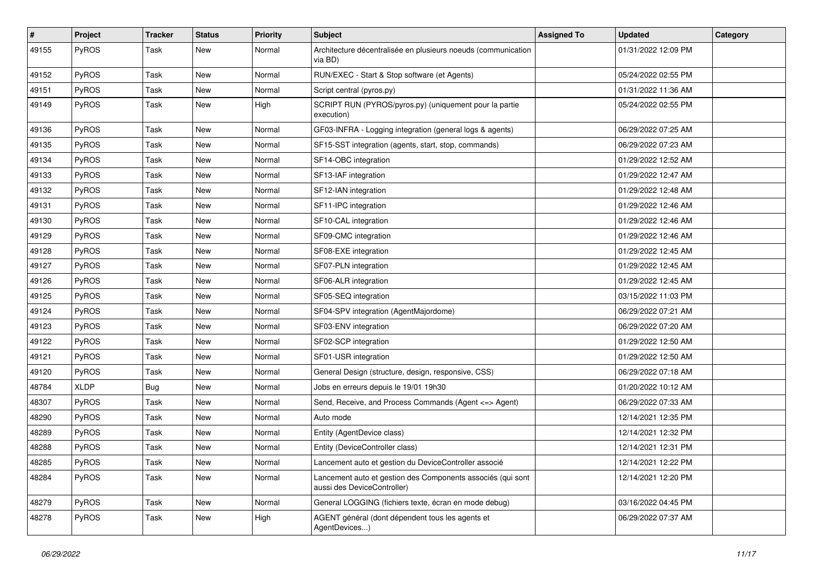| #     | Project      | <b>Tracker</b> | <b>Status</b> | <b>Priority</b> | <b>Subject</b>                                                                             | <b>Assigned To</b> | <b>Updated</b>      | Category |
|-------|--------------|----------------|---------------|-----------------|--------------------------------------------------------------------------------------------|--------------------|---------------------|----------|
| 49155 | <b>PyROS</b> | Task           | New           | Normal          | Architecture décentralisée en plusieurs noeuds (communication<br>via BD)                   |                    | 01/31/2022 12:09 PM |          |
| 49152 | PyROS        | Task           | New           | Normal          | RUN/EXEC - Start & Stop software (et Agents)                                               |                    | 05/24/2022 02:55 PM |          |
| 49151 | <b>PyROS</b> | Task           | <b>New</b>    | Normal          | Script central (pyros.py)                                                                  |                    | 01/31/2022 11:36 AM |          |
| 49149 | <b>PyROS</b> | Task           | New           | High            | SCRIPT RUN (PYROS/pyros.py) (uniquement pour la partie<br>execution)                       |                    | 05/24/2022 02:55 PM |          |
| 49136 | PyROS        | Task           | New           | Normal          | GF03-INFRA - Logging integration (general logs & agents)                                   |                    | 06/29/2022 07:25 AM |          |
| 49135 | <b>PyROS</b> | Task           | New           | Normal          | SF15-SST integration (agents, start, stop, commands)                                       |                    | 06/29/2022 07:23 AM |          |
| 49134 | <b>PyROS</b> | Task           | New           | Normal          | SF14-OBC integration                                                                       |                    | 01/29/2022 12:52 AM |          |
| 49133 | PyROS        | Task           | New           | Normal          | SF13-IAF integration                                                                       |                    | 01/29/2022 12:47 AM |          |
| 49132 | <b>PyROS</b> | Task           | New           | Normal          | SF12-IAN integration                                                                       |                    | 01/29/2022 12:48 AM |          |
| 49131 | <b>PyROS</b> | Task           | <b>New</b>    | Normal          | SF11-IPC integration                                                                       |                    | 01/29/2022 12:46 AM |          |
| 49130 | <b>PyROS</b> | Task           | New           | Normal          | SF10-CAL integration                                                                       |                    | 01/29/2022 12:46 AM |          |
| 49129 | <b>PyROS</b> | Task           | New           | Normal          | SF09-CMC integration                                                                       |                    | 01/29/2022 12:46 AM |          |
| 49128 | <b>PyROS</b> | Task           | New           | Normal          | SF08-EXE integration                                                                       |                    | 01/29/2022 12:45 AM |          |
| 49127 | <b>PyROS</b> | Task           | New           | Normal          | SF07-PLN integration                                                                       |                    | 01/29/2022 12:45 AM |          |
| 49126 | PyROS        | Task           | New           | Normal          | SF06-ALR integration                                                                       |                    | 01/29/2022 12:45 AM |          |
| 49125 | <b>PyROS</b> | Task           | New           | Normal          | SF05-SEQ integration                                                                       |                    | 03/15/2022 11:03 PM |          |
| 49124 | <b>PyROS</b> | Task           | New           | Normal          | SF04-SPV integration (AgentMajordome)                                                      |                    | 06/29/2022 07:21 AM |          |
| 49123 | PyROS        | Task           | New           | Normal          | SF03-ENV integration                                                                       |                    | 06/29/2022 07:20 AM |          |
| 49122 | <b>PyROS</b> | Task           | New           | Normal          | SF02-SCP integration                                                                       |                    | 01/29/2022 12:50 AM |          |
| 49121 | <b>PyROS</b> | Task           | New           | Normal          | SF01-USR integration                                                                       |                    | 01/29/2022 12:50 AM |          |
| 49120 | <b>PyROS</b> | Task           | New           | Normal          | General Design (structure, design, responsive, CSS)                                        |                    | 06/29/2022 07:18 AM |          |
| 48784 | <b>XLDP</b>  | Bug            | New           | Normal          | Jobs en erreurs depuis le 19/01 19h30                                                      |                    | 01/20/2022 10:12 AM |          |
| 48307 | <b>PyROS</b> | Task           | <b>New</b>    | Normal          | Send, Receive, and Process Commands (Agent <= > Agent)                                     |                    | 06/29/2022 07:33 AM |          |
| 48290 | <b>PyROS</b> | Task           | New           | Normal          | Auto mode                                                                                  |                    | 12/14/2021 12:35 PM |          |
| 48289 | <b>PyROS</b> | Task           | New           | Normal          | Entity (AgentDevice class)                                                                 |                    | 12/14/2021 12:32 PM |          |
| 48288 | PyROS        | Task           | <b>New</b>    | Normal          | Entity (DeviceController class)                                                            |                    | 12/14/2021 12:31 PM |          |
| 48285 | PyROS        | Task           | New           | Normal          | Lancement auto et gestion du DeviceController associé                                      |                    | 12/14/2021 12:22 PM |          |
| 48284 | PyROS        | Task           | New           | Normal          | Lancement auto et gestion des Components associés (qui sont<br>aussi des DeviceController) |                    | 12/14/2021 12:20 PM |          |
| 48279 | PyROS        | Task           | New           | Normal          | General LOGGING (fichiers texte, écran en mode debug)                                      |                    | 03/16/2022 04:45 PM |          |
| 48278 | PyROS        | Task           | New           | High            | AGENT général (dont dépendent tous les agents et<br>AgentDevices)                          |                    | 06/29/2022 07:37 AM |          |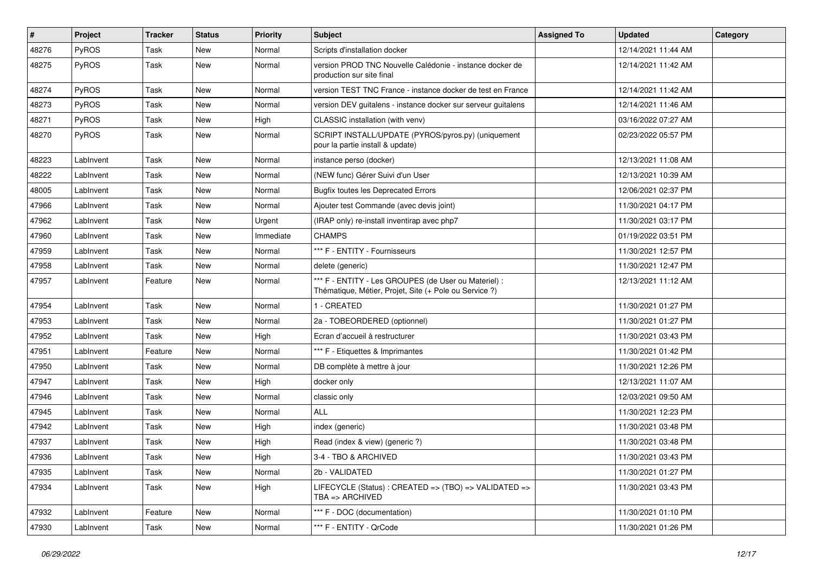| #     | Project   | <b>Tracker</b> | <b>Status</b> | <b>Priority</b> | <b>Subject</b>                                                                                                 | <b>Assigned To</b> | <b>Updated</b>      | Category |
|-------|-----------|----------------|---------------|-----------------|----------------------------------------------------------------------------------------------------------------|--------------------|---------------------|----------|
| 48276 | PyROS     | Task           | <b>New</b>    | Normal          | Scripts d'installation docker                                                                                  |                    | 12/14/2021 11:44 AM |          |
| 48275 | PyROS     | Task           | New           | Normal          | version PROD TNC Nouvelle Calédonie - instance docker de<br>production sur site final                          |                    | 12/14/2021 11:42 AM |          |
| 48274 | PyROS     | Task           | <b>New</b>    | Normal          | version TEST TNC France - instance docker de test en France                                                    |                    | 12/14/2021 11:42 AM |          |
| 48273 | PyROS     | Task           | <b>New</b>    | Normal          | version DEV guitalens - instance docker sur serveur guitalens                                                  |                    | 12/14/2021 11:46 AM |          |
| 48271 | PyROS     | Task           | <b>New</b>    | High            | CLASSIC installation (with venv)                                                                               |                    | 03/16/2022 07:27 AM |          |
| 48270 | PyROS     | Task           | New           | Normal          | SCRIPT INSTALL/UPDATE (PYROS/pyros.py) (uniquement<br>pour la partie install & update)                         |                    | 02/23/2022 05:57 PM |          |
| 48223 | LabInvent | Task           | <b>New</b>    | Normal          | instance perso (docker)                                                                                        |                    | 12/13/2021 11:08 AM |          |
| 48222 | LabInvent | Task           | <b>New</b>    | Normal          | (NEW func) Gérer Suivi d'un User                                                                               |                    | 12/13/2021 10:39 AM |          |
| 48005 | LabInvent | Task           | <b>New</b>    | Normal          | <b>Bugfix toutes les Deprecated Errors</b>                                                                     |                    | 12/06/2021 02:37 PM |          |
| 47966 | LabInvent | Task           | <b>New</b>    | Normal          | Ajouter test Commande (avec devis joint)                                                                       |                    | 11/30/2021 04:17 PM |          |
| 47962 | LabInvent | Task           | <b>New</b>    | Urgent          | (IRAP only) re-install inventirap avec php7                                                                    |                    | 11/30/2021 03:17 PM |          |
| 47960 | LabInvent | Task           | <b>New</b>    | Immediate       | <b>CHAMPS</b>                                                                                                  |                    | 01/19/2022 03:51 PM |          |
| 47959 | LabInvent | Task           | <b>New</b>    | Normal          | *** F - ENTITY - Fournisseurs                                                                                  |                    | 11/30/2021 12:57 PM |          |
| 47958 | LabInvent | Task           | New           | Normal          | delete (generic)                                                                                               |                    | 11/30/2021 12:47 PM |          |
| 47957 | LabInvent | Feature        | New           | Normal          | *** F - ENTITY - Les GROUPES (de User ou Materiel) :<br>Thématique, Métier, Projet, Site (+ Pole ou Service ?) |                    | 12/13/2021 11:12 AM |          |
| 47954 | LabInvent | Task           | New           | Normal          | 1 - CREATED                                                                                                    |                    | 11/30/2021 01:27 PM |          |
| 47953 | LabInvent | Task           | <b>New</b>    | Normal          | 2a - TOBEORDERED (optionnel)                                                                                   |                    | 11/30/2021 01:27 PM |          |
| 47952 | LabInvent | Task           | New           | High            | Ecran d'accueil à restructurer                                                                                 |                    | 11/30/2021 03:43 PM |          |
| 47951 | LabInvent | Feature        | <b>New</b>    | Normal          | *** F - Etiquettes & Imprimantes                                                                               |                    | 11/30/2021 01:42 PM |          |
| 47950 | LabInvent | Task           | <b>New</b>    | Normal          | DB complète à mettre à jour                                                                                    |                    | 11/30/2021 12:26 PM |          |
| 47947 | LabInvent | Task           | <b>New</b>    | High            | docker only                                                                                                    |                    | 12/13/2021 11:07 AM |          |
| 47946 | LabInvent | Task           | <b>New</b>    | Normal          | classic only                                                                                                   |                    | 12/03/2021 09:50 AM |          |
| 47945 | LabInvent | Task           | New           | Normal          | <b>ALL</b>                                                                                                     |                    | 11/30/2021 12:23 PM |          |
| 47942 | LabInvent | Task           | <b>New</b>    | High            | index (generic)                                                                                                |                    | 11/30/2021 03:48 PM |          |
| 47937 | LabInvent | Task           | <b>New</b>    | High            | Read (index & view) (generic ?)                                                                                |                    | 11/30/2021 03:48 PM |          |
| 47936 | LabInvent | Task           | New           | High            | 3-4 - TBO & ARCHIVED                                                                                           |                    | 11/30/2021 03:43 PM |          |
| 47935 | LabInvent | Task           | New           | Normal          | 2b - VALIDATED                                                                                                 |                    | 11/30/2021 01:27 PM |          |
| 47934 | LabInvent | Task           | New           | High            | LIFECYCLE (Status): CREATED => (TBO) => VALIDATED =><br>TBA => ARCHIVED                                        |                    | 11/30/2021 03:43 PM |          |
| 47932 | LabInvent | Feature        | New           | Normal          | *** F - DOC (documentation)                                                                                    |                    | 11/30/2021 01:10 PM |          |
| 47930 | LabInvent | Task           | New           | Normal          | *** F - ENTITY - QrCode                                                                                        |                    | 11/30/2021 01:26 PM |          |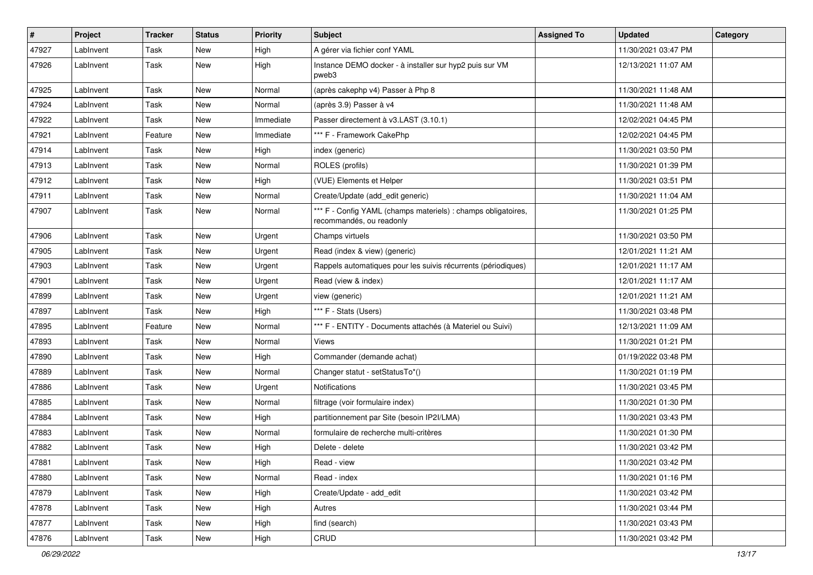| $\vert$ # | Project   | <b>Tracker</b> | <b>Status</b> | <b>Priority</b> | <b>Subject</b>                                                                            | <b>Assigned To</b> | <b>Updated</b>      | Category |
|-----------|-----------|----------------|---------------|-----------------|-------------------------------------------------------------------------------------------|--------------------|---------------------|----------|
| 47927     | LabInvent | Task           | New           | High            | A gérer via fichier conf YAML                                                             |                    | 11/30/2021 03:47 PM |          |
| 47926     | Lablnvent | Task           | New           | High            | Instance DEMO docker - à installer sur hyp2 puis sur VM<br>pweb3                          |                    | 12/13/2021 11:07 AM |          |
| 47925     | Lablnvent | Task           | New           | Normal          | (après cakephp v4) Passer à Php 8                                                         |                    | 11/30/2021 11:48 AM |          |
| 47924     | LabInvent | Task           | New           | Normal          | (après 3.9) Passer à v4                                                                   |                    | 11/30/2021 11:48 AM |          |
| 47922     | LabInvent | Task           | New           | Immediate       | Passer directement à v3.LAST (3.10.1)                                                     |                    | 12/02/2021 04:45 PM |          |
| 47921     | LabInvent | Feature        | New           | Immediate       | *** F - Framework CakePhp                                                                 |                    | 12/02/2021 04:45 PM |          |
| 47914     | LabInvent | Task           | New           | High            | index (generic)                                                                           |                    | 11/30/2021 03:50 PM |          |
| 47913     | Lablnvent | Task           | New           | Normal          | ROLES (profils)                                                                           |                    | 11/30/2021 01:39 PM |          |
| 47912     | Lablnvent | Task           | New           | High            | (VUE) Elements et Helper                                                                  |                    | 11/30/2021 03:51 PM |          |
| 47911     | LabInvent | Task           | New           | Normal          | Create/Update (add_edit generic)                                                          |                    | 11/30/2021 11:04 AM |          |
| 47907     | LabInvent | Task           | New           | Normal          | *** F - Config YAML (champs materiels) : champs obligatoires,<br>recommandés, ou readonly |                    | 11/30/2021 01:25 PM |          |
| 47906     | LabInvent | Task           | New           | Urgent          | Champs virtuels                                                                           |                    | 11/30/2021 03:50 PM |          |
| 47905     | LabInvent | Task           | New           | Urgent          | Read (index & view) (generic)                                                             |                    | 12/01/2021 11:21 AM |          |
| 47903     | LabInvent | Task           | New           | Urgent          | Rappels automatiques pour les suivis récurrents (périodiques)                             |                    | 12/01/2021 11:17 AM |          |
| 47901     | LabInvent | Task           | New           | Urgent          | Read (view & index)                                                                       |                    | 12/01/2021 11:17 AM |          |
| 47899     | LabInvent | Task           | New           | Urgent          | view (generic)                                                                            |                    | 12/01/2021 11:21 AM |          |
| 47897     | LabInvent | Task           | New           | High            | *** F - Stats (Users)                                                                     |                    | 11/30/2021 03:48 PM |          |
| 47895     | LabInvent | Feature        | New           | Normal          | *** F - ENTITY - Documents attachés (à Materiel ou Suivi)                                 |                    | 12/13/2021 11:09 AM |          |
| 47893     | Lablnvent | Task           | New           | Normal          | Views                                                                                     |                    | 11/30/2021 01:21 PM |          |
| 47890     | Lablnvent | Task           | New           | High            | Commander (demande achat)                                                                 |                    | 01/19/2022 03:48 PM |          |
| 47889     | LabInvent | Task           | <b>New</b>    | Normal          | Changer statut - setStatusTo*()                                                           |                    | 11/30/2021 01:19 PM |          |
| 47886     | LabInvent | Task           | New           | Urgent          | <b>Notifications</b>                                                                      |                    | 11/30/2021 03:45 PM |          |
| 47885     | LabInvent | Task           | New           | Normal          | filtrage (voir formulaire index)                                                          |                    | 11/30/2021 01:30 PM |          |
| 47884     | LabInvent | Task           | New           | High            | partitionnement par Site (besoin IP2I/LMA)                                                |                    | 11/30/2021 03:43 PM |          |
| 47883     | LabInvent | Task           | New           | Normal          | formulaire de recherche multi-critères                                                    |                    | 11/30/2021 01:30 PM |          |
| 47882     | LabInvent | Task           | New           | High            | Delete - delete                                                                           |                    | 11/30/2021 03:42 PM |          |
| 47881     | LabInvent | Task           | New           | High            | Read - view                                                                               |                    | 11/30/2021 03:42 PM |          |
| 47880     | LabInvent | Task           | <b>New</b>    | Normal          | Read - index                                                                              |                    | 11/30/2021 01:16 PM |          |
| 47879     | LabInvent | Task           | New           | High            | Create/Update - add_edit                                                                  |                    | 11/30/2021 03:42 PM |          |
| 47878     | LabInvent | Task           | New           | High            | Autres                                                                                    |                    | 11/30/2021 03:44 PM |          |
| 47877     | LabInvent | Task           | New           | High            | find (search)                                                                             |                    | 11/30/2021 03:43 PM |          |
| 47876     | LabInvent | Task           | New           | High            | CRUD                                                                                      |                    | 11/30/2021 03:42 PM |          |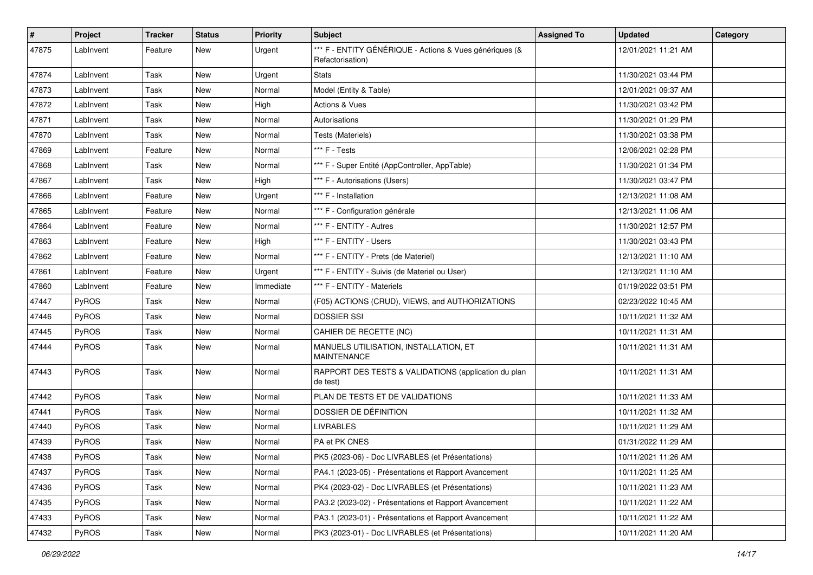| #     | Project   | <b>Tracker</b> | <b>Status</b> | <b>Priority</b> | <b>Subject</b>                                                              | <b>Assigned To</b> | <b>Updated</b>      | Category |
|-------|-----------|----------------|---------------|-----------------|-----------------------------------------------------------------------------|--------------------|---------------------|----------|
| 47875 | LabInvent | Feature        | New           | Urgent          | *** F - ENTITY GÉNÉRIQUE - Actions & Vues génériques (&<br>Refactorisation) |                    | 12/01/2021 11:21 AM |          |
| 47874 | LabInvent | Task           | <b>New</b>    | Urgent          | <b>Stats</b>                                                                |                    | 11/30/2021 03:44 PM |          |
| 47873 | LabInvent | Task           | New           | Normal          | Model (Entity & Table)                                                      |                    | 12/01/2021 09:37 AM |          |
| 47872 | LabInvent | Task           | <b>New</b>    | High            | <b>Actions &amp; Vues</b>                                                   |                    | 11/30/2021 03:42 PM |          |
| 47871 | LabInvent | Task           | New           | Normal          | Autorisations                                                               |                    | 11/30/2021 01:29 PM |          |
| 47870 | LabInvent | Task           | <b>New</b>    | Normal          | Tests (Materiels)                                                           |                    | 11/30/2021 03:38 PM |          |
| 47869 | LabInvent | Feature        | New           | Normal          | *** F - Tests                                                               |                    | 12/06/2021 02:28 PM |          |
| 47868 | LabInvent | Task           | New           | Normal          | *** F - Super Entité (AppController, AppTable)                              |                    | 11/30/2021 01:34 PM |          |
| 47867 | LabInvent | Task           | <b>New</b>    | High            | *** F - Autorisations (Users)                                               |                    | 11/30/2021 03:47 PM |          |
| 47866 | LabInvent | Feature        | New           | Urgent          | *** F - Installation                                                        |                    | 12/13/2021 11:08 AM |          |
| 47865 | LabInvent | Feature        | <b>New</b>    | Normal          | *** F - Configuration générale                                              |                    | 12/13/2021 11:06 AM |          |
| 47864 | LabInvent | Feature        | New           | Normal          | *** F - ENTITY - Autres                                                     |                    | 11/30/2021 12:57 PM |          |
| 47863 | LabInvent | Feature        | <b>New</b>    | High            | *** F - ENTITY - Users                                                      |                    | 11/30/2021 03:43 PM |          |
| 47862 | LabInvent | Feature        | <b>New</b>    | Normal          | *** F - ENTITY - Prets (de Materiel)                                        |                    | 12/13/2021 11:10 AM |          |
| 47861 | LabInvent | Feature        | New           | Urgent          | *** F - ENTITY - Suivis (de Materiel ou User)                               |                    | 12/13/2021 11:10 AM |          |
| 47860 | LabInvent | Feature        | <b>New</b>    | Immediate       | *** F - ENTITY - Materiels                                                  |                    | 01/19/2022 03:51 PM |          |
| 47447 | PyROS     | Task           | New           | Normal          | (F05) ACTIONS (CRUD), VIEWS, and AUTHORIZATIONS                             |                    | 02/23/2022 10:45 AM |          |
| 47446 | PyROS     | Task           | <b>New</b>    | Normal          | <b>DOSSIER SSI</b>                                                          |                    | 10/11/2021 11:32 AM |          |
| 47445 | PyROS     | Task           | New           | Normal          | CAHIER DE RECETTE (NC)                                                      |                    | 10/11/2021 11:31 AM |          |
| 47444 | PyROS     | Task           | New           | Normal          | MANUELS UTILISATION, INSTALLATION, ET<br><b>MAINTENANCE</b>                 |                    | 10/11/2021 11:31 AM |          |
| 47443 | PyROS     | Task           | <b>New</b>    | Normal          | RAPPORT DES TESTS & VALIDATIONS (application du plan<br>de test)            |                    | 10/11/2021 11:31 AM |          |
| 47442 | PyROS     | Task           | <b>New</b>    | Normal          | PLAN DE TESTS ET DE VALIDATIONS                                             |                    | 10/11/2021 11:33 AM |          |
| 47441 | PyROS     | Task           | New           | Normal          | DOSSIER DE DÉFINITION                                                       |                    | 10/11/2021 11:32 AM |          |
| 47440 | PyROS     | Task           | New           | Normal          | <b>LIVRABLES</b>                                                            |                    | 10/11/2021 11:29 AM |          |
| 47439 | PyROS     | Task           | <b>New</b>    | Normal          | PA et PK CNES                                                               |                    | 01/31/2022 11:29 AM |          |
| 47438 | PyROS     | Task           | New           | Normal          | PK5 (2023-06) - Doc LIVRABLES (et Présentations)                            |                    | 10/11/2021 11:26 AM |          |
| 47437 | PyROS     | Task           | New           | Normal          | PA4.1 (2023-05) - Présentations et Rapport Avancement                       |                    | 10/11/2021 11:25 AM |          |
| 47436 | PyROS     | Task           | New           | Normal          | PK4 (2023-02) - Doc LIVRABLES (et Présentations)                            |                    | 10/11/2021 11:23 AM |          |
| 47435 | PyROS     | Task           | New           | Normal          | PA3.2 (2023-02) - Présentations et Rapport Avancement                       |                    | 10/11/2021 11:22 AM |          |
| 47433 | PyROS     | Task           | New           | Normal          | PA3.1 (2023-01) - Présentations et Rapport Avancement                       |                    | 10/11/2021 11:22 AM |          |
| 47432 | PyROS     | Task           | New           | Normal          | PK3 (2023-01) - Doc LIVRABLES (et Présentations)                            |                    | 10/11/2021 11:20 AM |          |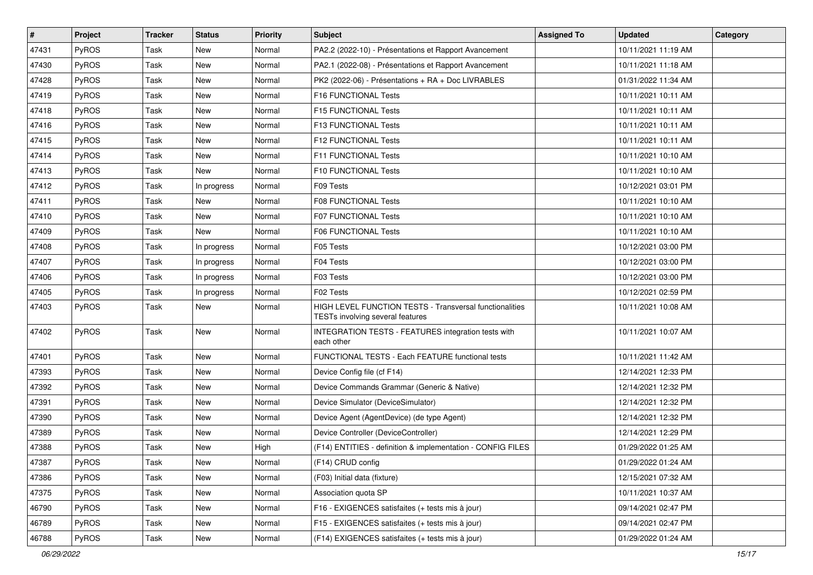| $\vert$ # | Project      | <b>Tracker</b> | <b>Status</b> | <b>Priority</b> | <b>Subject</b>                                                                                     | <b>Assigned To</b> | <b>Updated</b>      | Category |
|-----------|--------------|----------------|---------------|-----------------|----------------------------------------------------------------------------------------------------|--------------------|---------------------|----------|
| 47431     | <b>PyROS</b> | Task           | New           | Normal          | PA2.2 (2022-10) - Présentations et Rapport Avancement                                              |                    | 10/11/2021 11:19 AM |          |
| 47430     | PyROS        | Task           | <b>New</b>    | Normal          | PA2.1 (2022-08) - Présentations et Rapport Avancement                                              |                    | 10/11/2021 11:18 AM |          |
| 47428     | <b>PyROS</b> | Task           | New           | Normal          | PK2 (2022-06) - Présentations + RA + Doc LIVRABLES                                                 |                    | 01/31/2022 11:34 AM |          |
| 47419     | PyROS        | Task           | New           | Normal          | F16 FUNCTIONAL Tests                                                                               |                    | 10/11/2021 10:11 AM |          |
| 47418     | PyROS        | Task           | New           | Normal          | F15 FUNCTIONAL Tests                                                                               |                    | 10/11/2021 10:11 AM |          |
| 47416     | PyROS        | Task           | New           | Normal          | F13 FUNCTIONAL Tests                                                                               |                    | 10/11/2021 10:11 AM |          |
| 47415     | PyROS        | Task           | <b>New</b>    | Normal          | F12 FUNCTIONAL Tests                                                                               |                    | 10/11/2021 10:11 AM |          |
| 47414     | <b>PyROS</b> | Task           | New           | Normal          | F11 FUNCTIONAL Tests                                                                               |                    | 10/11/2021 10:10 AM |          |
| 47413     | <b>PyROS</b> | Task           | New           | Normal          | F10 FUNCTIONAL Tests                                                                               |                    | 10/11/2021 10:10 AM |          |
| 47412     | PyROS        | Task           | In progress   | Normal          | F09 Tests                                                                                          |                    | 10/12/2021 03:01 PM |          |
| 47411     | <b>PyROS</b> | Task           | <b>New</b>    | Normal          | <b>F08 FUNCTIONAL Tests</b>                                                                        |                    | 10/11/2021 10:10 AM |          |
| 47410     | PyROS        | Task           | New           | Normal          | <b>F07 FUNCTIONAL Tests</b>                                                                        |                    | 10/11/2021 10:10 AM |          |
| 47409     | <b>PyROS</b> | Task           | New           | Normal          | <b>F06 FUNCTIONAL Tests</b>                                                                        |                    | 10/11/2021 10:10 AM |          |
| 47408     | <b>PyROS</b> | Task           | In progress   | Normal          | F05 Tests                                                                                          |                    | 10/12/2021 03:00 PM |          |
| 47407     | PyROS        | Task           | In progress   | Normal          | F04 Tests                                                                                          |                    | 10/12/2021 03:00 PM |          |
| 47406     | <b>PyROS</b> | Task           | In progress   | Normal          | F03 Tests                                                                                          |                    | 10/12/2021 03:00 PM |          |
| 47405     | PyROS        | Task           | In progress   | Normal          | F02 Tests                                                                                          |                    | 10/12/2021 02:59 PM |          |
| 47403     | <b>PyROS</b> | Task           | <b>New</b>    | Normal          | HIGH LEVEL FUNCTION TESTS - Transversal functionalities<br><b>TESTs involving several features</b> |                    | 10/11/2021 10:08 AM |          |
| 47402     | <b>PyROS</b> | Task           | New           | Normal          | INTEGRATION TESTS - FEATURES integration tests with<br>each other                                  |                    | 10/11/2021 10:07 AM |          |
| 47401     | <b>PyROS</b> | Task           | New           | Normal          | FUNCTIONAL TESTS - Each FEATURE functional tests                                                   |                    | 10/11/2021 11:42 AM |          |
| 47393     | PyROS        | Task           | New           | Normal          | Device Config file (cf F14)                                                                        |                    | 12/14/2021 12:33 PM |          |
| 47392     | <b>PyROS</b> | Task           | New           | Normal          | Device Commands Grammar (Generic & Native)                                                         |                    | 12/14/2021 12:32 PM |          |
| 47391     | <b>PyROS</b> | Task           | New           | Normal          | Device Simulator (DeviceSimulator)                                                                 |                    | 12/14/2021 12:32 PM |          |
| 47390     | <b>PyROS</b> | Task           | <b>New</b>    | Normal          | Device Agent (AgentDevice) (de type Agent)                                                         |                    | 12/14/2021 12:32 PM |          |
| 47389     | <b>PyROS</b> | Task           | New           | Normal          | Device Controller (DeviceController)                                                               |                    | 12/14/2021 12:29 PM |          |
| 47388     | <b>PyROS</b> | Task           | <b>New</b>    | High            | (F14) ENTITIES - definition & implementation - CONFIG FILES                                        |                    | 01/29/2022 01:25 AM |          |
| 47387     | PyROS        | Task           | New           | Normal          | (F14) CRUD config                                                                                  |                    | 01/29/2022 01:24 AM |          |
| 47386     | PyROS        | Task           | New           | Normal          | (F03) Initial data (fixture)                                                                       |                    | 12/15/2021 07:32 AM |          |
| 47375     | PyROS        | Task           | New           | Normal          | Association quota SP                                                                               |                    | 10/11/2021 10:37 AM |          |
| 46790     | PyROS        | Task           | New           | Normal          | F16 - EXIGENCES satisfaites (+ tests mis à jour)                                                   |                    | 09/14/2021 02:47 PM |          |
| 46789     | PyROS        | Task           | New           | Normal          | F15 - EXIGENCES satisfaites (+ tests mis à jour)                                                   |                    | 09/14/2021 02:47 PM |          |
| 46788     | PyROS        | Task           | New           | Normal          | (F14) EXIGENCES satisfaites (+ tests mis à jour)                                                   |                    | 01/29/2022 01:24 AM |          |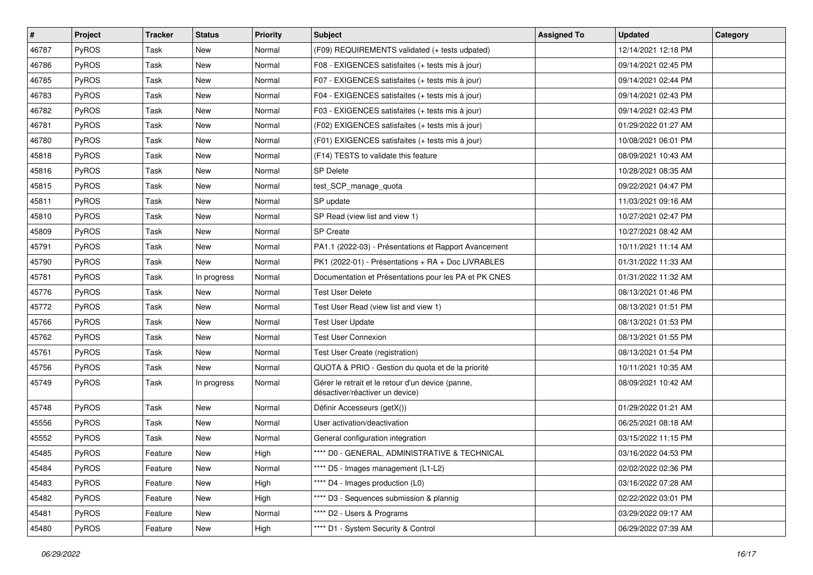| $\pmb{\#}$ | Project      | <b>Tracker</b> | <b>Status</b> | <b>Priority</b> | Subject                                                                              | <b>Assigned To</b> | <b>Updated</b>      | Category |
|------------|--------------|----------------|---------------|-----------------|--------------------------------------------------------------------------------------|--------------------|---------------------|----------|
| 46787      | PyROS        | Task           | New           | Normal          | (F09) REQUIREMENTS validated (+ tests udpated)                                       |                    | 12/14/2021 12:18 PM |          |
| 46786      | PyROS        | Task           | New           | Normal          | F08 - EXIGENCES satisfaites (+ tests mis à jour)                                     |                    | 09/14/2021 02:45 PM |          |
| 46785      | <b>PyROS</b> | Task           | New           | Normal          | F07 - EXIGENCES satisfaites (+ tests mis à jour)                                     |                    | 09/14/2021 02:44 PM |          |
| 46783      | PyROS        | Task           | New           | Normal          | F04 - EXIGENCES satisfaites (+ tests mis à jour)                                     |                    | 09/14/2021 02:43 PM |          |
| 46782      | PyROS        | Task           | New           | Normal          | F03 - EXIGENCES satisfaites (+ tests mis à jour)                                     |                    | 09/14/2021 02:43 PM |          |
| 46781      | PyROS        | Task           | New           | Normal          | (F02) EXIGENCES satisfaites (+ tests mis à jour)                                     |                    | 01/29/2022 01:27 AM |          |
| 46780      | PyROS        | Task           | <b>New</b>    | Normal          | (F01) EXIGENCES satisfaites (+ tests mis à jour)                                     |                    | 10/08/2021 06:01 PM |          |
| 45818      | <b>PyROS</b> | Task           | New           | Normal          | (F14) TESTS to validate this feature                                                 |                    | 08/09/2021 10:43 AM |          |
| 45816      | PyROS        | Task           | New           | Normal          | <b>SP Delete</b>                                                                     |                    | 10/28/2021 08:35 AM |          |
| 45815      | PyROS        | Task           | New           | Normal          | test_SCP_manage_quota                                                                |                    | 09/22/2021 04:47 PM |          |
| 45811      | PyROS        | Task           | New           | Normal          | SP update                                                                            |                    | 11/03/2021 09:16 AM |          |
| 45810      | PyROS        | Task           | New           | Normal          | SP Read (view list and view 1)                                                       |                    | 10/27/2021 02:47 PM |          |
| 45809      | PyROS        | Task           | New           | Normal          | <b>SP</b> Create                                                                     |                    | 10/27/2021 08:42 AM |          |
| 45791      | PyROS        | Task           | New           | Normal          | PA1.1 (2022-03) - Présentations et Rapport Avancement                                |                    | 10/11/2021 11:14 AM |          |
| 45790      | PyROS        | Task           | New           | Normal          | PK1 (2022-01) - Présentations + RA + Doc LIVRABLES                                   |                    | 01/31/2022 11:33 AM |          |
| 45781      | <b>PyROS</b> | Task           | In progress   | Normal          | Documentation et Présentations pour les PA et PK CNES                                |                    | 01/31/2022 11:32 AM |          |
| 45776      | PyROS        | Task           | New           | Normal          | Test User Delete                                                                     |                    | 08/13/2021 01:46 PM |          |
| 45772      | PyROS        | Task           | New           | Normal          | Test User Read (view list and view 1)                                                |                    | 08/13/2021 01:51 PM |          |
| 45766      | PyROS        | Task           | New           | Normal          | <b>Test User Update</b>                                                              |                    | 08/13/2021 01:53 PM |          |
| 45762      | PyROS        | Task           | New           | Normal          | <b>Test User Connexion</b>                                                           |                    | 08/13/2021 01:55 PM |          |
| 45761      | PyROS        | Task           | New           | Normal          | Test User Create (registration)                                                      |                    | 08/13/2021 01:54 PM |          |
| 45756      | PyROS        | Task           | New           | Normal          | QUOTA & PRIO - Gestion du quota et de la priorité                                    |                    | 10/11/2021 10:35 AM |          |
| 45749      | <b>PyROS</b> | Task           | In progress   | Normal          | Gérer le retrait et le retour d'un device (panne,<br>désactiver/réactiver un device) |                    | 08/09/2021 10:42 AM |          |
| 45748      | PyROS        | Task           | New           | Normal          | Définir Accesseurs (getX())                                                          |                    | 01/29/2022 01:21 AM |          |
| 45556      | <b>PyROS</b> | Task           | New           | Normal          | User activation/deactivation                                                         |                    | 06/25/2021 08:18 AM |          |
| 45552      | PyROS        | Task           | New           | Normal          | General configuration integration                                                    |                    | 03/15/2022 11:15 PM |          |
| 45485      | PyROS        | Feature        | New           | High            | **** D0 - GENERAL, ADMINISTRATIVE & TECHNICAL                                        |                    | 03/16/2022 04:53 PM |          |
| 45484      | PyROS        | Feature        | New           | Normal          | **** D5 - Images management (L1-L2)                                                  |                    | 02/02/2022 02:36 PM |          |
| 45483      | PyROS        | Feature        | New           | High            | **** D4 - Images production (L0)                                                     |                    | 03/16/2022 07:28 AM |          |
| 45482      | PyROS        | Feature        | New           | High            | **** D3 - Sequences submission & plannig                                             |                    | 02/22/2022 03:01 PM |          |
| 45481      | PyROS        | Feature        | New           | Normal          | **** D2 - Users & Programs                                                           |                    | 03/29/2022 09:17 AM |          |
| 45480      | PyROS        | Feature        | New           | High            | **** D1 - System Security & Control                                                  |                    | 06/29/2022 07:39 AM |          |